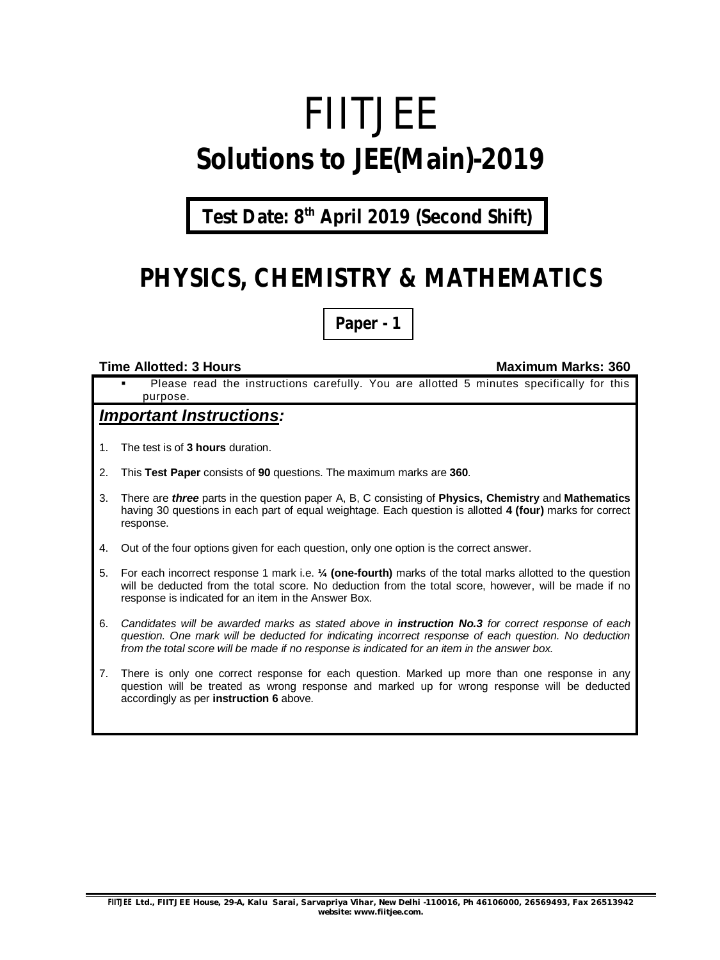# FIITJEE **Solutions to JEE(Main)-2019**

**Test Date: 8 th April 2019 (Second Shift)**

# **PHYSICS, CHEMISTRY & MATHEMATICS**

**Paper - 1**

#### **Time Allotted: 3 Hours Maximum Marks: 360**

 Please read the instructions carefully. You are allotted 5 minutes specifically for this purpose.

#### *Important Instructions:*

- 1. The test is of **3 hours** duration.
- 2. This **Test Paper** consists of **90** questions. The maximum marks are **360**.
- 3. There are *three* parts in the question paper A, B, C consisting of **Physics, Chemistry** and **Mathematics** having 30 questions in each part of equal weightage. Each question is allotted **4 (four)** marks for correct response.
- 4. Out of the four options given for each question, only one option is the correct answer.
- 5. For each incorrect response 1 mark i.e. **¼ (one-fourth)** marks of the total marks allotted to the question will be deducted from the total score. No deduction from the total score, however, will be made if no response is indicated for an item in the Answer Box.
- 6. *Candidates will be awarded marks as stated above in instruction No.3 for correct response of each question. One mark will be deducted for indicating incorrect response of each question. No deduction from the total score will be made if no response is indicated for an item in the answer box.*
- 7. There is only one correct response for each question. Marked up more than one response in any question will be treated as wrong response and marked up for wrong response will be deducted accordingly as per **instruction 6** above.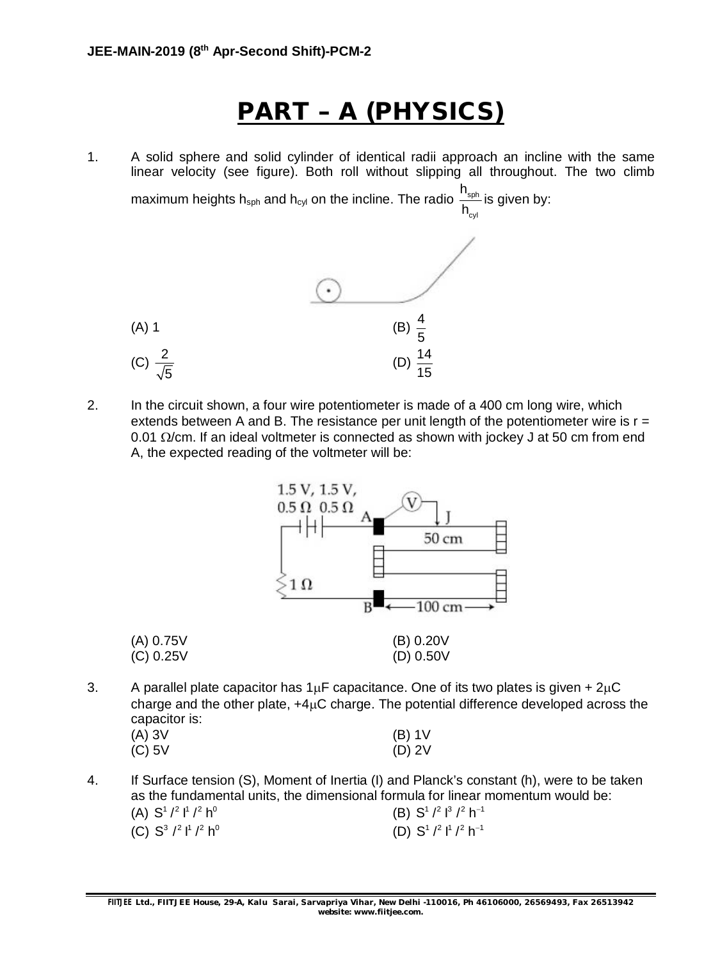# **PART – A (PHYSICS)**

1. A solid sphere and solid cylinder of identical radii approach an incline with the same linear velocity (see figure). Both roll without slipping all throughout. The two climb

maximum heights h<sub>sph</sub> and h<sub>cyl</sub> on the incline. The radio  $\frac{1 \text{ sph}}{1}$ cyl h h is given by:



2. In the circuit shown, a four wire potentiometer is made of a 400 cm long wire, which extends between A and B. The resistance per unit length of the potentiometer wire is  $r =$ 0.01  $\Omega$ /cm. If an ideal voltmeter is connected as shown with jockey J at 50 cm from end A, the expected reading of the voltmeter will be:



3. A parallel plate capacitor has  $1\mu$ F capacitance. One of its two plates is given +  $2\mu$ C charge and the other plate,  $+4\mu$ C charge. The potential difference developed across the capacitor is:

| (A) 3V   | $(B)$ 1V |
|----------|----------|
| $(C)$ 5V | $(D)$ 2V |

4. If Surface tension (S), Moment of Inertia (I) and Planck's constant (h), were to be taken as the fundamental units, the dimensional formula for linear momentum would be: (A)  $S^1$  /<sup>2</sup> 1<sup>1</sup> /<sup>2</sup> h<sup>0</sup> (B)  $S^1$  /<sup>2</sup> 1<sup>3</sup> /<sup>2</sup> h<sup>-1</sup> (C)  $S^3 /^2 l^1 /^2 h^0$  (D)  $S^1 /^2 l^1 /^2 h^{-1}$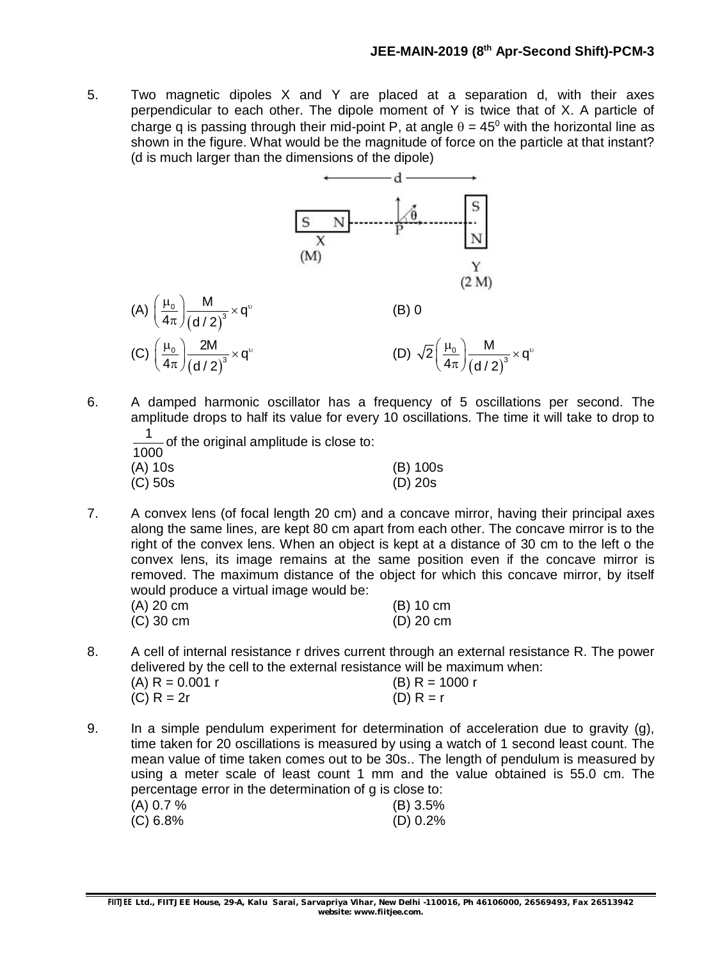5. Two magnetic dipoles X and Y are placed at a separation d, with their axes perpendicular to each other. The dipole moment of Y is twice that of X. A particle of charge q is passing through their mid-point P, at angle  $\theta = 45^{\circ}$  with the horizontal line as shown in the figure. What would be the magnitude of force on the particle at that instant? (d is much larger than the dimensions of the dipole)



6. A damped harmonic oscillator has a frequency of 5 oscillations per second. The amplitude drops to half its value for every 10 oscillations. The time it will take to drop to

| $\frac{1}{1000}$ of the original amplitude is close to: |           |
|---------------------------------------------------------|-----------|
| (A) 10s                                                 | (B) 100s  |
| $(C)$ 50s                                               | $(D)$ 20s |

7. A convex lens (of focal length 20 cm) and a concave mirror, having their principal axes along the same lines, are kept 80 cm apart from each other. The concave mirror is to the right of the convex lens. When an object is kept at a distance of 30 cm to the left o the convex lens, its image remains at the same position even if the concave mirror is removed. The maximum distance of the object for which this concave mirror, by itself would produce a virtual image would be:

| (A) 20 cm | $(B)$ 10 cm |
|-----------|-------------|
| (C) 30 cm | $(D)$ 20 cm |

- 8. A cell of internal resistance r drives current through an external resistance R. The power delivered by the cell to the external resistance will be maximum when: (A)  $R = 0.001$  r (B)  $R = 1000$  r (C)  $R = 2r$  (D)  $R = r$
- 9. In a simple pendulum experiment for determination of acceleration due to gravity (g), time taken for 20 oscillations is measured by using a watch of 1 second least count. The mean value of time taken comes out to be 30s.. The length of pendulum is measured by using a meter scale of least count 1 mm and the value obtained is 55.0 cm. The percentage error in the determination of g is close to:  $(A)$  0.7 % (B) 3.5% (C) 6.8% (D) 0.2%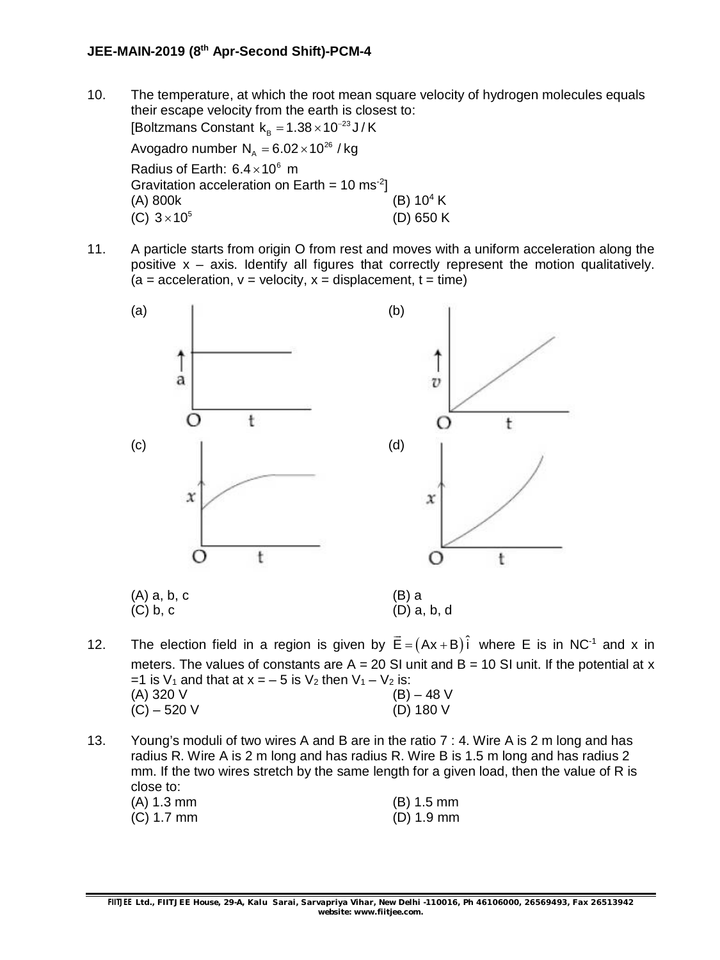10. The temperature, at which the root mean square velocity of hydrogen molecules equals their escape velocity from the earth is closest to: [Boltzmans Constant  $\rm k_{_B}$  =1.38 $\times$ 10<sup>-23</sup>J/K

Avogadro number  $N<sub>a</sub> = 6.02 \times 10^{26}$  / kg Radius of Earth:  $6.4 \times 10^6$  m Gravitation acceleration on Earth =  $10 \text{ ms}^{-2}$ ] (A) 800k (B)  $10^4$  K (C)  $3 \times 10^5$ (D) 650 K

11. A particle starts from origin O from rest and moves with a uniform acceleration along the positive  $x - a$ xis. Identify all figures that correctly represent the motion qualitatively.  $(a = acceleration, v = velocity, x = displacement, t = time)$ 



- 12. The election field in a region is given by  $\vec{\mathsf{E}} = (\mathsf{Ax} + \mathsf{B})\hat{\mathsf{i}}$ where  $E$  is in NC $^{-1}$  and x in meters. The values of constants are  $A = 20$  SI unit and  $B = 10$  SI unit. If the potential at x =1 is  $V_1$  and that at  $x = -5$  is  $V_2$  then  $V_1 - V_2$  is: (A) 320 V (B) – 48 V  $(C) - 520$  V (D) 180 V
- 13. Young's moduli of two wires A and B are in the ratio 7 : 4. Wire A is 2 m long and has radius R. Wire A is 2 m long and has radius R. Wire B is 1.5 m long and has radius 2 mm. If the two wires stretch by the same length for a given load, then the value of R is close to:

| (A) 1.3 mm | $(B)$ 1.5 mm |
|------------|--------------|
| (C) 1.7 mm | $(D)$ 1.9 mm |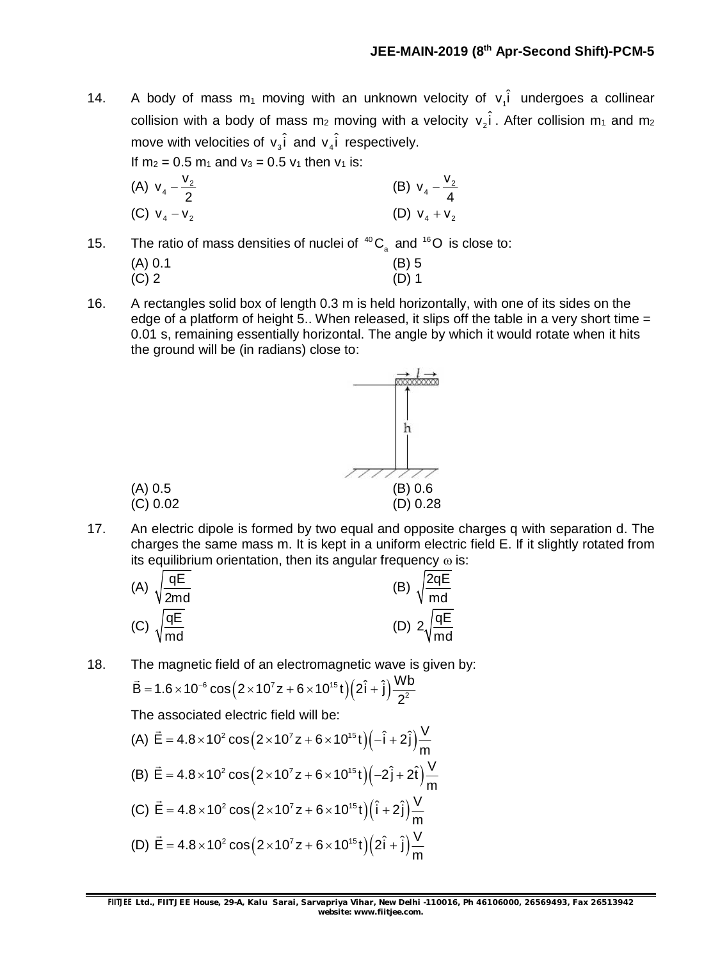14. A body of mass m<sub>1</sub> moving with an unknown velocity of  $v_i$  undergoes a collinear collision with a body of mass m<sub>2</sub> moving with a velocity  $v_2\hat{i}$  . After collision m<sub>1</sub> and m<sub>2</sub> move with velocities of  $v_3\hat{i}$  and  $v_4\hat{i}$  respectively.

If  $m_2 = 0.5 m_1$  and  $v_3 = 0.5 v_1$  then  $v_1$  is:

(A) 
$$
v_4 - \frac{v_2}{2}
$$
  
\n(B)  $v_4 - \frac{v_2}{4}$   
\n(C)  $v_4 - v_2$   
\n(D)  $v_4 + v_2$ 

15. The ratio of mass densities of nuclei of  ${}^{40}C_2$  and  ${}^{16}O$  is close to:

| (A) 0.1 | $(B)$ 5 |
|---------|---------|
| $(C)$ 2 | $(D)$ 1 |

16. A rectangles solid box of length 0.3 m is held horizontally, with one of its sides on the edge of a platform of height 5.. When released, it slips off the table in a very short time  $=$ 0.01 s, remaining essentially horizontal. The angle by which it would rotate when it hits the ground will be (in radians) close to:



17. An electric dipole is formed by two equal and opposite charges q with separation d. The charges the same mass m. It is kept in a uniform electric field E. If it slightly rotated from its equilibrium orientation, then its angular frequency  $\omega$  is:

(A) 
$$
\sqrt{\frac{qE}{2md}}
$$
  
\n(B)  $\sqrt{\frac{2qE}{md}}$   
\n(C)  $\sqrt{\frac{qE}{md}}$   
\n(D)  $2\sqrt{\frac{qE}{md}}$ 

18. The magnetic field of an electromagnetic wave is given by:

$$
\vec{B} = 1.6 \times 10^{-6} \cos (2 \times 10^{7} z + 6 \times 10^{15} t) (2 \hat{i} + \hat{j}) \frac{Wb}{2^{2}}
$$

The associated electric field will be:

(A) 
$$
\vec{E} = 4.8 \times 10^2 \cos(2 \times 10^7 z + 6 \times 10^{15} t)(-\hat{i} + 2\hat{j})\frac{V}{m}
$$
  
\n(B)  $\vec{E} = 4.8 \times 10^2 \cos(2 \times 10^7 z + 6 \times 10^{15} t)(-2\hat{j} + 2\hat{t})\frac{V}{m}$   
\n(C)  $\vec{E} = 4.8 \times 10^2 \cos(2 \times 10^7 z + 6 \times 10^{15} t)(\hat{i} + 2\hat{j})\frac{V}{m}$   
\n(D)  $\vec{E} = 4.8 \times 10^2 \cos(2 \times 10^7 z + 6 \times 10^{15} t)(2\hat{i} + \hat{j})\frac{V}{m}$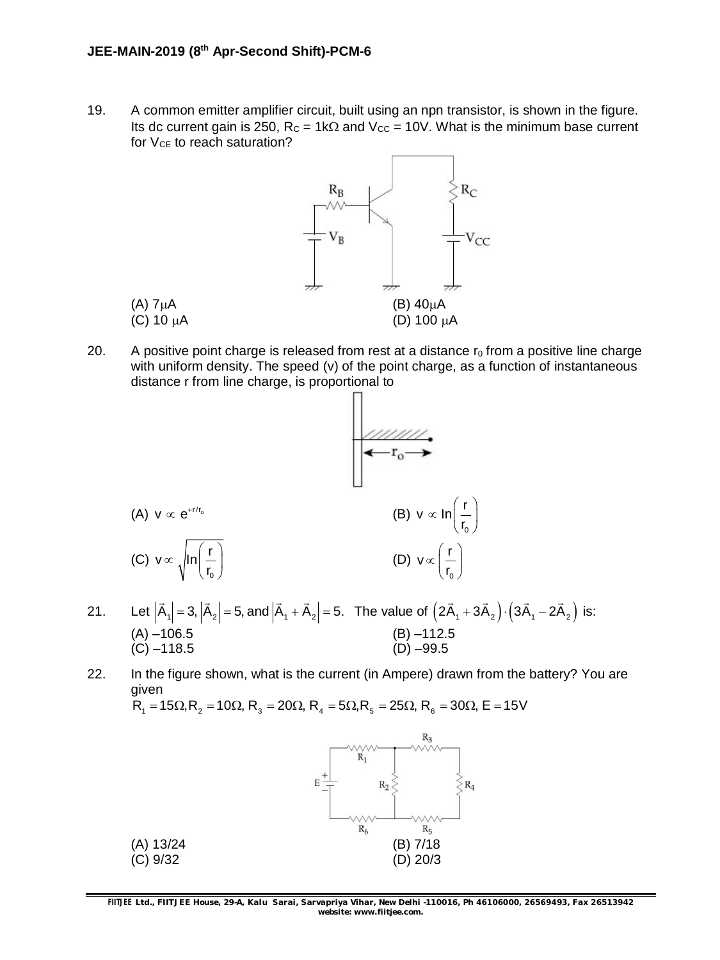19. A common emitter amplifier circuit, built using an npn transistor, is shown in the figure. Its dc current gain is 250,  $R_C = 1k\Omega$  and  $V_{CC} = 10V$ . What is the minimum base current for  $V_{CE}$  to reach saturation?



20. A positive point charge is released from rest at a distance  $r_0$  from a positive line charge with uniform density. The speed (v) of the point charge, as a function of instantaneous distance r from line charge, is proportional to



- 21. Let  $|A_1| = 3$ ,  $|A_2| = 5$ , and  $|A_1 + A_2| = 5$ . The value of  $(2A_1 + 3A_2) \cdot (3A_1 - 2A_2)$  $\rightarrow$   $\rightarrow$   $\rightarrow$   $\rightarrow$   $\rightarrow$ is: (A) –106.5 (B) –112.5 (A)  $-106.5$  (B)  $-112.5$ <br>(C)  $-118.5$  (D)  $-99.5$
- 22. In the figure shown, what is the current (in Ampere) drawn from the battery? You are given

 $R_1 = 15 \Omega, R_2 = 10 \Omega, R_3 = 20 \Omega, R_4 = 5 \Omega, R_5 = 25 \Omega, R_6 = 30 \Omega, E = 15 V$ 



**FIITJEE** *Ltd., FIITJEE House, 29-A, Kalu Sarai, Sarvapriya Vihar, New Delhi -110016, Ph 46106000, 26569493, Fax 26513942 website: [www.fiitjee.com.](http://www.fiitjee.com.)*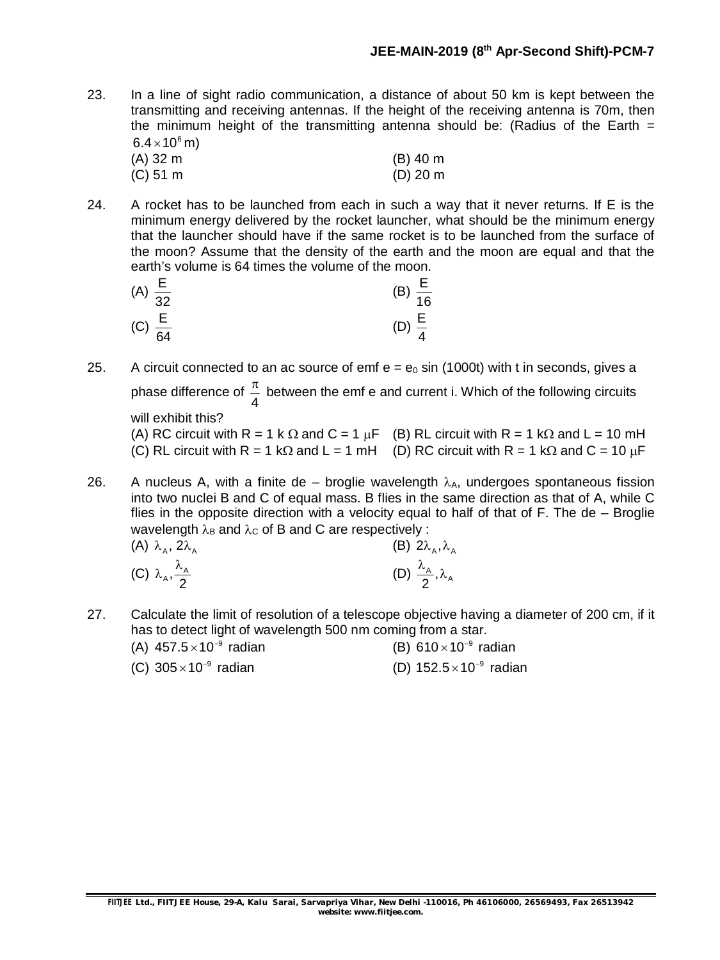- 23. In a line of sight radio communication, a distance of about 50 km is kept between the transmitting and receiving antennas. If the height of the receiving antenna is 70m, then the minimum height of the transmitting antenna should be: (Radius of the Earth  $=$  $6.4\times$  10 $^6$  m)
	- (A) 32 m (B) 40 m<br>(C) 51 m (D) 20 m  $(C)$  51 m
- 24. A rocket has to be launched from each in such a way that it never returns. If E is the minimum energy delivered by the rocket launcher, what should be the minimum energy that the launcher should have if the same rocket is to be launched from the surface of the moon? Assume that the density of the earth and the moon are equal and that the earth's volume is 64 times the volume of the moon.

| (A) $\frac{E}{32}$ | (B) $\frac{E}{16}$ |
|--------------------|--------------------|
| (C) $\frac{E}{64}$ | (D) $\frac{E}{4}$  |

- 25. A circuit connected to an ac source of emf  $e = e_0 \sin(1000t)$  with t in seconds, gives a phase difference of 4  $\frac{\pi}{4}$  between the emf e and current i. Which of the following circuits will exhibit this?
	- (A) RC circuit with R = 1 k  $\Omega$  and C = 1  $\mu$ F (B) RL circuit with R = 1 k $\Omega$  and L = 10 mH (C) RL circuit with R = 1 k $\Omega$  and L = 1 mH (D) RC circuit with R = 1 k $\Omega$  and C = 10  $\mu$ F
- 26. A nucleus A, with a finite de broglie wavelength  $\lambda_A$ , undergoes spontaneous fission into two nuclei B and C of equal mass. B flies in the same direction as that of A, while C flies in the opposite direction with a velocity equal to half of that of F. The de – Broglie wavelength  $\lambda_B$  and  $\lambda_C$  of B and C are respectively :

| (A) $\lambda_A$ , $2\lambda_A$       | (B) $2\lambda_A, \lambda_A$                         |
|--------------------------------------|-----------------------------------------------------|
| (C) $\lambda_A, \frac{\lambda_A}{2}$ | (D) $\frac{\lambda_{\rm A}}{2}$ , $\lambda_{\rm A}$ |

- 27. Calculate the limit of resolution of a telescope objective having a diameter of 200 cm, if it has to detect light of wavelength 500 nm coming from a star.
	- (A)  $457.5 \times 10^{-9}$  radian  $\times 10^{-9}$  radian  $\times 10^{-9}$  radian
	- (C)  $305 \times 10^{-9}$  $\times$ 10<sup>-9</sup> radian  $\textrm{(D)}$  152.5 $\times$ 10<sup>-9</sup> radian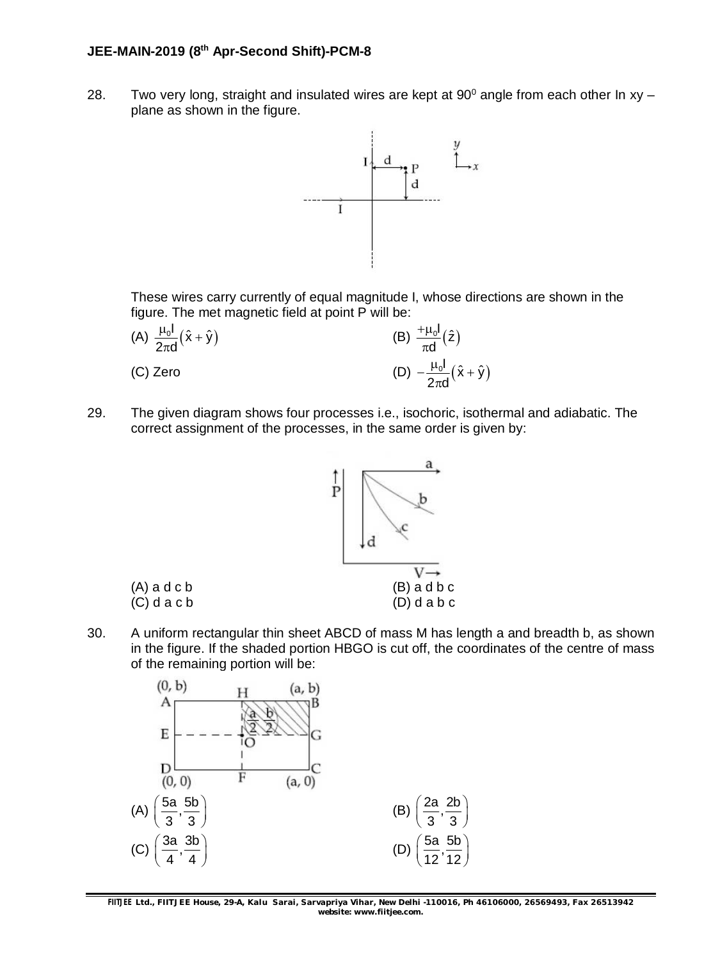28. Two very long, straight and insulated wires are kept at  $90^{\circ}$  angle from each other In xy – plane as shown in the figure.



These wires carry currently of equal magnitude I, whose directions are shown in the figure. The met magnetic field at point P will be:

| (A) $\frac{\mu_0 I}{2\pi d}(\hat{x} + \hat{y})$ | (B) $\frac{+ \mu_0 I}{\pi d}(\hat{z})$           |
|-------------------------------------------------|--------------------------------------------------|
| (C) Zero                                        | (D) $-\frac{\mu_0 I}{2\pi d}(\hat{x} + \hat{y})$ |

29. The given diagram shows four processes i.e., isochoric, isothermal and adiabatic. The correct assignment of the processes, in the same order is given by:



30. A uniform rectangular thin sheet ABCD of mass M has length a and breadth b, as shown in the figure. If the shaded portion HBGO is cut off, the coordinates of the centre of mass of the remaining portion will be:



**FIITJEE** *Ltd., FIITJEE House, 29-A, Kalu Sarai, Sarvapriya Vihar, New Delhi -110016, Ph 46106000, 26569493, Fax 26513942 website: [www.fiitjee.com.](http://www.fiitjee.com.)*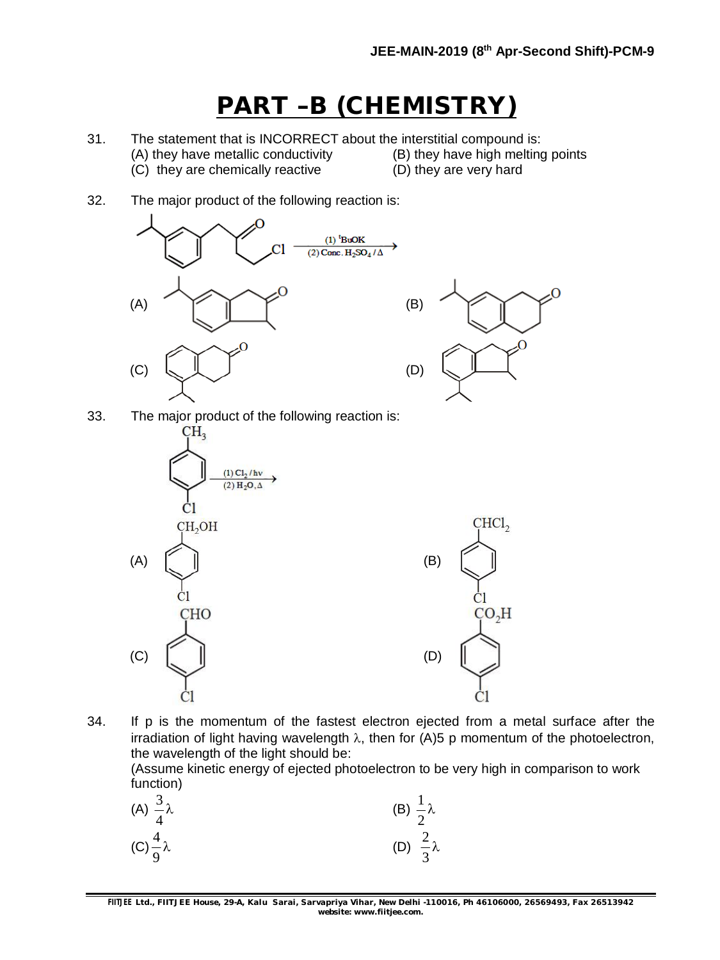# **PART –B (CHEMISTRY)**

- 31. The statement that is INCORRECT about the interstitial compound is:
	- (A) they have metallic conductivity (B) they have high melting points
	- (C) they are chemically reactive (D) they are very hard
- 32. The major product of the following reaction is:



33. The major product of the following reaction is:



34. If p is the momentum of the fastest electron ejected from a metal surface after the irradiation of light having wavelength  $\lambda$ , then for (A)5 p momentum of the photoelectron, the wavelength of the light should be:

(Assume kinetic energy of ejected photoelectron to be very high in comparison to work function)

| (A) $\frac{3}{4}\lambda$ | (B) $\frac{1}{2}\lambda$ |
|--------------------------|--------------------------|
| $(C)\frac{4}{9}\lambda$  | (D) $\frac{2}{3}\lambda$ |

**FIITJEE** *Ltd., FIITJEE House, 29-A, Kalu Sarai, Sarvapriya Vihar, New Delhi -110016, Ph 46106000, 26569493, Fax 26513942 website: [www.fiitjee.com.](http://www.fiitjee.com.)*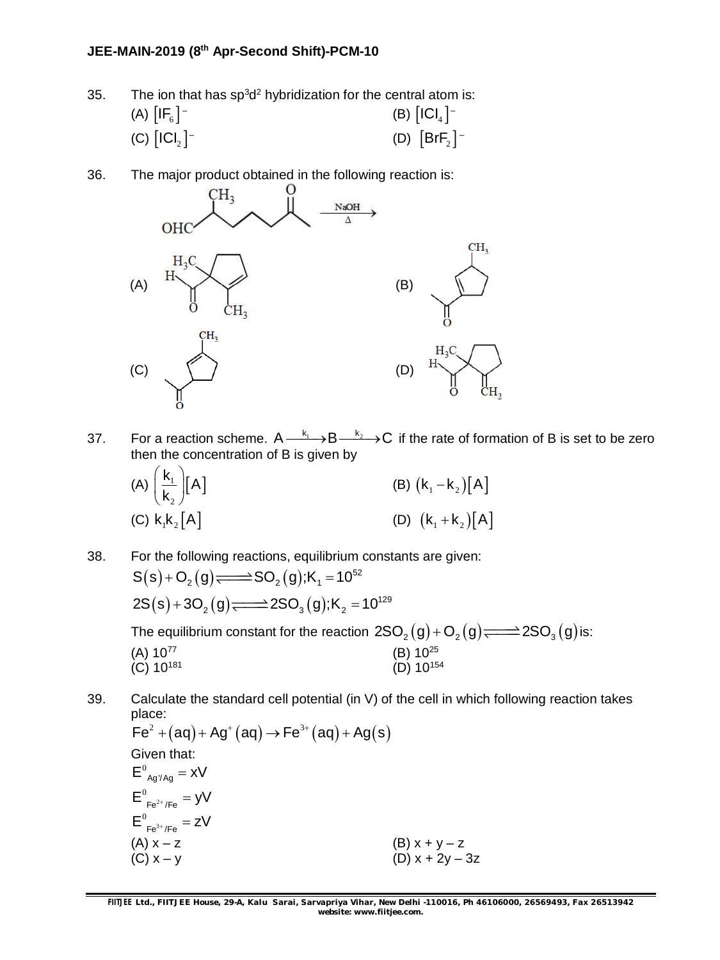- 35. The ion that has sp<sup>3</sup>d<sup>2</sup> hybridization for the central atom is: (A)  $[\mathsf{IF}_{6}]^{-}$ (B)  $[\mathsf{ICI_4}]^-$ (C)  $\lfloor \textsf{ICI}_2 \rfloor^-$ (D)  $[BrF<sub>2</sub>]$  -
- 36. The major product obtained in the following reaction is:



37. For a reaction scheme.  $A \xrightarrow{k_1} B \xrightarrow{k_2} C$  if the rate of formation of B is set to be zero then the concentration of B is given by

(A) 
$$
\left(\frac{k_1}{k_2}\right)[A]
$$
  
\n(B)  $(k_1 - k_2)[A]$   
\n(C)  $k_1k_2[A]$   
\n(D)  $(k_1 + k_2)[A]$ 

38. For the following reactions, equilibrium constants are given:  $S(s)$  + O<sub>2</sub> (g)  $\Longrightarrow$   $SO_2(g)$ ; K<sub>1</sub> = 10<sup>52</sup>  $2S(s) + 3O_2(g)$   $\Longrightarrow$   $2SO_3(g)$ ;K<sub>2</sub> = 10<sup>129</sup> The equilibrium constant for the reaction  $2SO_2(g)+O_2(g)$   $\Longrightarrow$   $2SO_3(g)$  is: (A)  $10^{77}$  (B)  $10^{25}$ (C)  $10^{181}$  (D)  $10^{154}$ 

39. Calculate the standard cell potential (in V) of the cell in which following reaction takes place:

 $\mathsf{Fe}^2 + (\mathsf{aq}) + \mathsf{Ag}^+(\mathsf{aq}) \rightarrow \mathsf{Fe}^{3+}(\mathsf{aq}) + \mathsf{Ag}(\mathsf{s})$ Given that:  $E^0_{Aq'/Aq} = xV$  $E_{Fe^{2+}/Fe}^{0} = yV$  $E_{Fe^{3+}/Fe}^{0} = zV$ (A)  $x - z$  (B)  $x + y - z$ (C)  $x - y$  (D)  $x + 2y - 3z$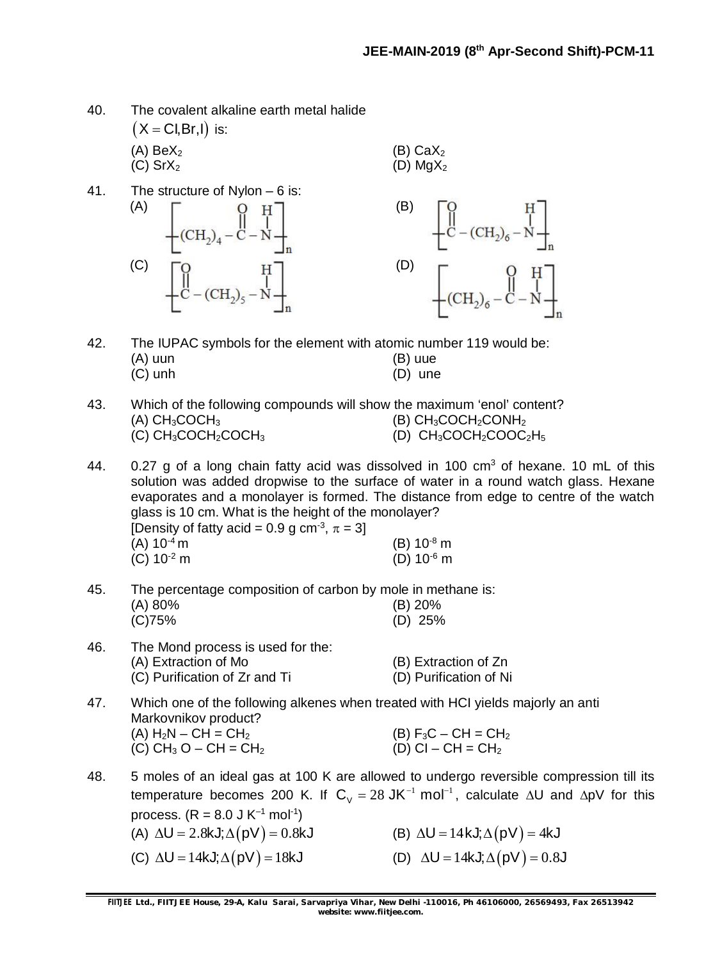| 40. | The covalent alkaline earth metal halide   |
|-----|--------------------------------------------|
|     | $(X = \text{Cl}, \text{Br}, \text{I})$ is: |

- (A)  $BeX_2$  (B)  $CaX_2$ (C) Sr $X_2$  (D) Mg $X_2$
- 41. The structure of Nylon 6 is:  $(A)$   $\begin{bmatrix} 0 & H \end{bmatrix}$   $(B)$  $-{\rm (CH}_{2)_6}-\rm N+$  $\overline{\text{CH}_2}_4$  - $(C)$   $\begin{bmatrix} 0 & H \end{bmatrix}$  (D)
- 42. The IUPAC symbols for the element with atomic number 119 would be: (A) uun (B) uue<br>(C) unh (D) une  $(D)$  une
- 43. Which of the following compounds will show the maximum 'enol' content? (A)  $CH_3COCH_3$  (B)  $CH_3COCH_2CONH_2$ (C)  $CH_3COCH_2COCH_3$  (D)  $CH_3COCH_2COOC_2H_5$
- 44. 0.27 g of a long chain fatty acid was dissolved in 100 cm<sup>3</sup> of hexane. 10 mL of this solution was added dropwise to the surface of water in a round watch glass. Hexane evaporates and a monolayer is formed. The distance from edge to centre of the watch glass is 10 cm. What is the height of the monolayer? [Density of fatty acid = 0.9 g cm<sup>-3</sup>,  $\pi = 3$ ]

| __<br>$(A) 10^{-4} m$ |  | $(B) 10^{-8}$ m |
|-----------------------|--|-----------------|
| (C) $10^{-2}$ m       |  | (D) $10^{-6}$ m |

45. The percentage composition of carbon by mole in methane is:<br>(A) 90%

| (A) 80% | $(B)$ 20% |
|---------|-----------|
| (C)75%  | $(D)$ 25% |

| 46. | The Mond process is used for the: |                        |  |  |  |  |  |
|-----|-----------------------------------|------------------------|--|--|--|--|--|
|     | (A) Extraction of Mo              | (B) Extraction of Zn   |  |  |  |  |  |
|     | (C) Purification of Zr and Ti     | (D) Purification of Ni |  |  |  |  |  |

- 47. Which one of the following alkenes when treated with HCI yields majorly an anti Markovnikov product? (A)  $H_2N - CH = CH_2$ <br>
(C)  $CH_3 O - CH = CH_2$ <br>
(D)  $Cl - CH = CH_2$ (C)  $CH_3 O - CH = CH_2$
- 48. 5 moles of an ideal gas at 100 K are allowed to undergo reversible compression till its temperature becomes 200 K. If  $C_V = 28$  JK<sup>-1</sup> mol<sup>-1</sup>, calculate  $\Delta U$  and  $\Delta pV$  for this process. (R = 8.0 J K<sup>-1</sup> mol<sup>-1</sup>) (A)  $\Delta U = 2.8$ kJ;  $\Delta (pV) = 0.8$ kJ  $\Delta U = 14$ kJ;  $\Delta (pV) = 4$ kJ
	-
- 
- (C)  $\Delta U = 14 kJ; \Delta (pV) = 18 kJ$  (D)  $\Delta U = 14 kJ; \Delta (pV) = 0.8 J$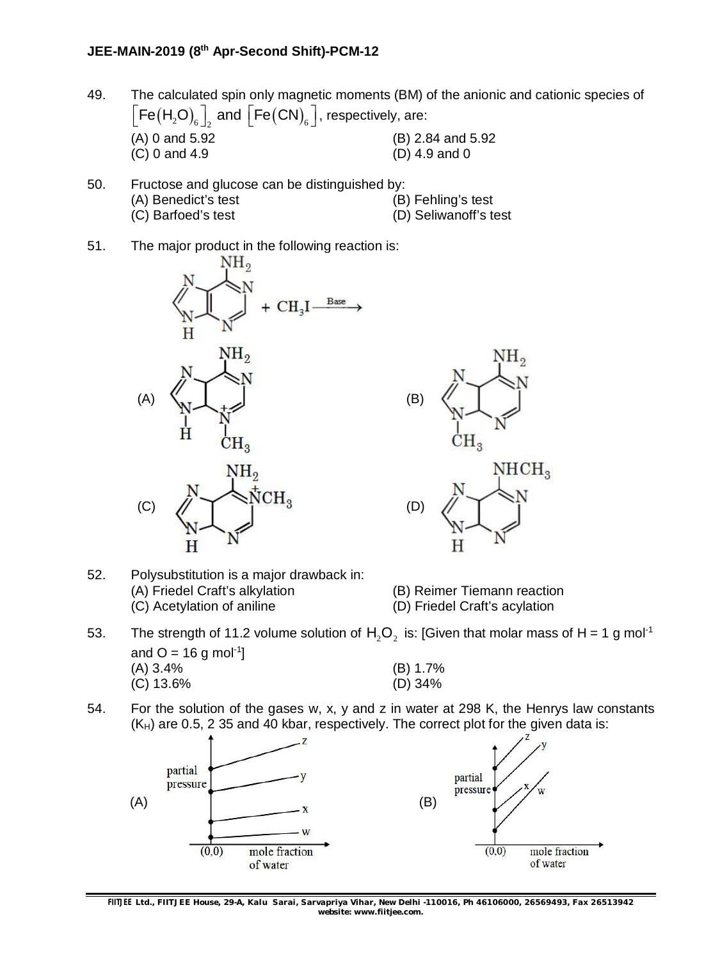- 49. The calculated spin only magnetic moments (BM) of the anionic and cationic species of  $\left \lfloor \mathsf{Fe}\left(\mathsf{H}_{\mathsf{2}} \mathsf{O} \right)_6 \right \rfloor_{\mathsf{2}}$  and  $\left \lfloor \mathsf{Fe}\left(\mathsf{CN} \right)_6 \right \rfloor$ , respectively, are: (A) 0 and 5.92 (B) 2.84 and 5.92 (C) 0 and 4.9 (D) 4.9 and 0
- 50. Fructose and glucose can be distinguished by: (A) Benedict's test (B) Fehling's test (C) Barfoed's test (D) Seliwanoff's test
- 51. The major product in the following reaction is:





- 52. Polysubstitution is a major drawback in: (A) Friedel Craft's alkylation (B) Reimer Tiemann reaction (C) Acetylation of aniline (D) Friedel Craft's acylation
- 53. The strength of 11.2 volume solution of  $H_2O_2$  is: [Given that molar mass of H = 1 g mol<sup>-1</sup> and  $O = 16$  g mol<sup>-1</sup>] (A) 3.4% (B) 1.7% (B) 1.7%  $(C)$  13.6%
- 54. For the solution of the gases w, x, y and z in water at 298 K, the Henrys law constants  $(K_H)$  are 0.5, 2 35 and 40 kbar, respectively. The correct plot for the given data is:

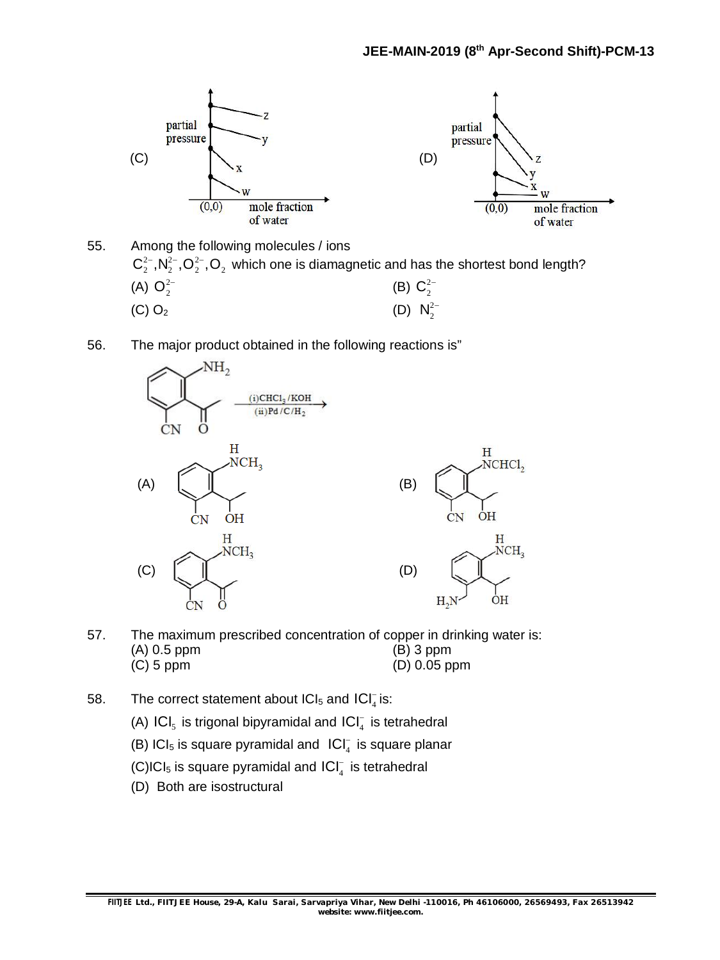

- 55. Among the following molecules / ions  $C_2^{2-}$ ,  $N_2^{2-}$ ,  $O_2^{2-}$ ,  $O_2$  which one is diamagnetic and has the shortest bond length? (A)  $O_2^{2-}$ (B)  $C_2^{2-}$ (C) O<sub>2</sub> (D)  $N_2^{2-}$
- 56. The major product obtained in the following reactions is"



- 57. The maximum prescribed concentration of copper in drinking water is: (A) 0.5 ppm (B) 3 ppm (C) 5 ppm (D) 0.05 ppm
- 58. The correct statement about  $|Cl_5$  and  $|Cl_4^-|$  is:
	- (A)  $\textsf{ICI}_5$  is trigonal bipyramidal and  $\textsf{ICI}^-_4$  is tetrahedral
	- (B) ICI<sub>5</sub> is square pyramidal and  $|Cl_4^-$  is square planar
	- (C)ICI<sub>5</sub> is square pyramidal and  $\textsf{ICI}^-_4$  is tetrahedral
	- (D) Both are isostructural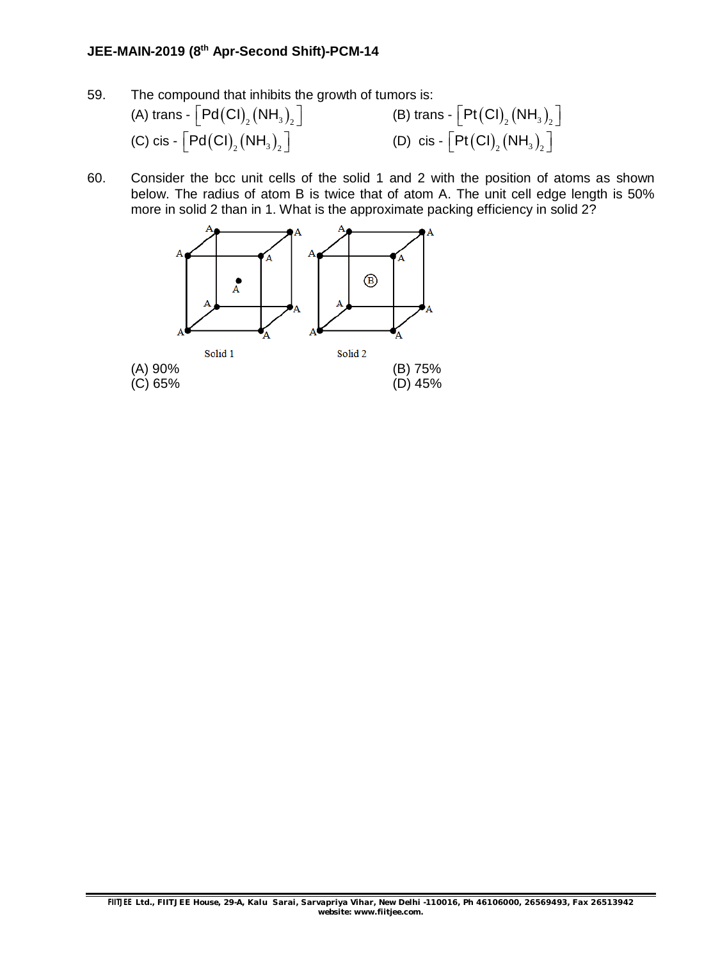- 59. The compound that inhibits the growth of tumors is: (A) trans -  $\lceil \text{Pd(Cl)}_{2}(\text{NH}_3)_{2} \rceil$  $\left[\text{Pd}(\text{CI})_{_2}(\text{NH}_3)_{_2}\right]$  (B) trans -  $\left[\text{Pt}(\text{CI})_{_2}(\text{NH}_3)_{_2}\right]$ (C) cis -  $\lceil \mathsf{Pd}(\mathsf{CI})_{_2}(\mathsf{NH}_3)_{_2}\rceil$  $\left[\text{Pd}(\text{CI})_{_2}(\text{NH}_3)_{_2}\right]$  (D) cis -  $\left[\text{Pt}(\text{CI})_{_2}(\text{NH}_3)_{_2}\right]$
- 60. Consider the bcc unit cells of the solid 1 and 2 with the position of atoms as shown below. The radius of atom B is twice that of atom A. The unit cell edge length is 50% more in solid 2 than in 1. What is the approximate packing efficiency in solid 2?

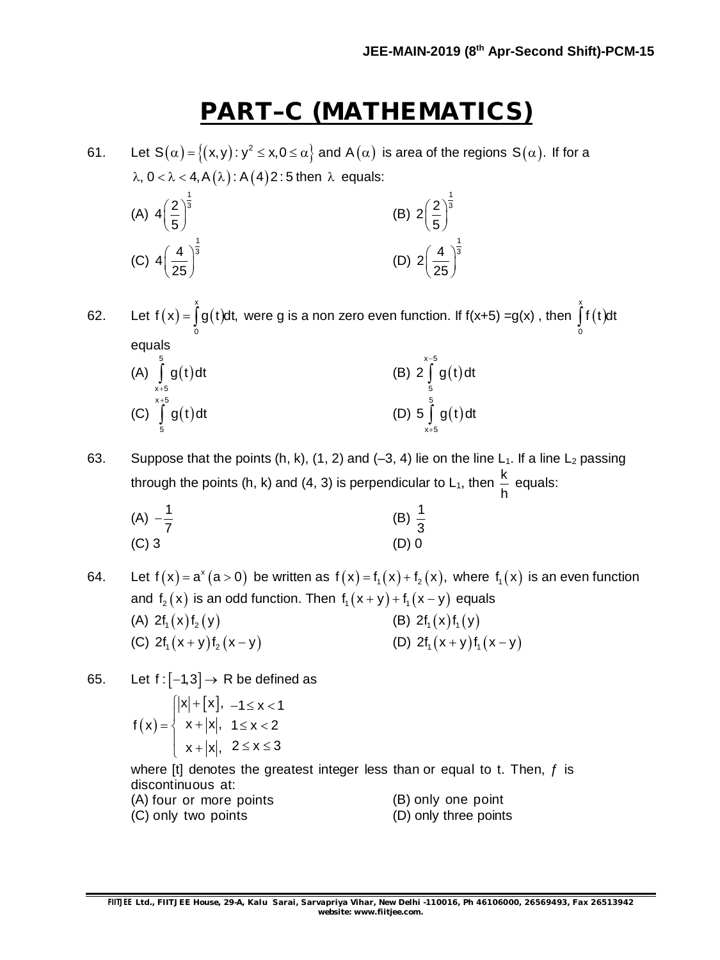## **PART–C (MATHEMATICS)**

61. Let S $(\alpha)$  =  $\big\{(x,y)\colon$  y  $^2\le x, 0\le\alpha\big\}$  and A $(\alpha)$  is area of the regions S $(\alpha).$  If for a  $\lambda$ ,  $0 < \lambda < 4$ ,  $A(\lambda)$ :  $A(4)2$ : 5 then  $\lambda$  equals:

(A) 
$$
4\left(\frac{2}{5}\right)^{\frac{1}{3}}
$$
  
\n(B)  $2\left(\frac{2}{5}\right)^{\frac{1}{3}}$   
\n(C)  $4\left(\frac{4}{25}\right)^{\frac{1}{3}}$   
\n(D)  $2\left(\frac{4}{25}\right)^{\frac{1}{3}}$ 

62. Let  $f(x) = |g(t)|$ x 0  $f(x) = \int g(t) dt$ , were g is a non zero even function. If f(x+5) =g(x) , then  $\int f(t)$ x 0  $\int f(t)dt$ equals  $(A) | g(t)$ 5  $x + 5$  $\int$  g(t)dt  $^{+}$ (B)  $2 | g(t)$ x-5 5 2 | g(t)dt -Ì  $(C) | g(t)$  $x + 5$ g(t)dt  $^{+}$ Ì (D)  $5 | g(t)$ 5 5 | g(t)dt  $\int_{0}^{1}$ 

63. Suppose that the points (h, k), (1, 2) and (-3, 4) lie on the line  $L_1$ . If a line  $L_2$  passing through the points (h, k) and (4, 3) is perpendicular to L<sub>1</sub>, then  $\frac{\mathsf{k}}{\mathsf{k}}$ h equals:

x+5

(A) 
$$
-\frac{1}{7}
$$
  
\n(B)  $\frac{1}{3}$   
\n(C) 3  
\n(D) 0

64. Let  $f(x) = a^x (a > 0)$  be written as  $f(x) = f_1(x) + f_2(x)$ , where  $f_1(x)$  is an even function and  $f_2(x)$  is an odd function. Then  $f_1(x + y) + f_1(x - y)$  equals (A)  $2f_1(x)f_2(y)$  (B)  $2f_1(x)f_1(y)$ (C)  $2f_1(x+y)f_2(x-y)$  (D)  $2f_1(x+y)f_1(x-y)$ 

65. Let  $f: [-1,3] \rightarrow R$  be defined as

5

$$
f(x) = \begin{cases} |x| + [x], & -1 \le x < 1 \\ x + |x|, & 1 \le x < 2 \\ x + |x|, & 2 \le x \le 3 \end{cases}
$$

where  $[t]$  denotes the greatest integer less than or equal to t. Then,  $f$  is discontinuous at:

|                     | (A) four or more points |  | (B) only one point    |  |
|---------------------|-------------------------|--|-----------------------|--|
| (C) only two points |                         |  | (D) only three points |  |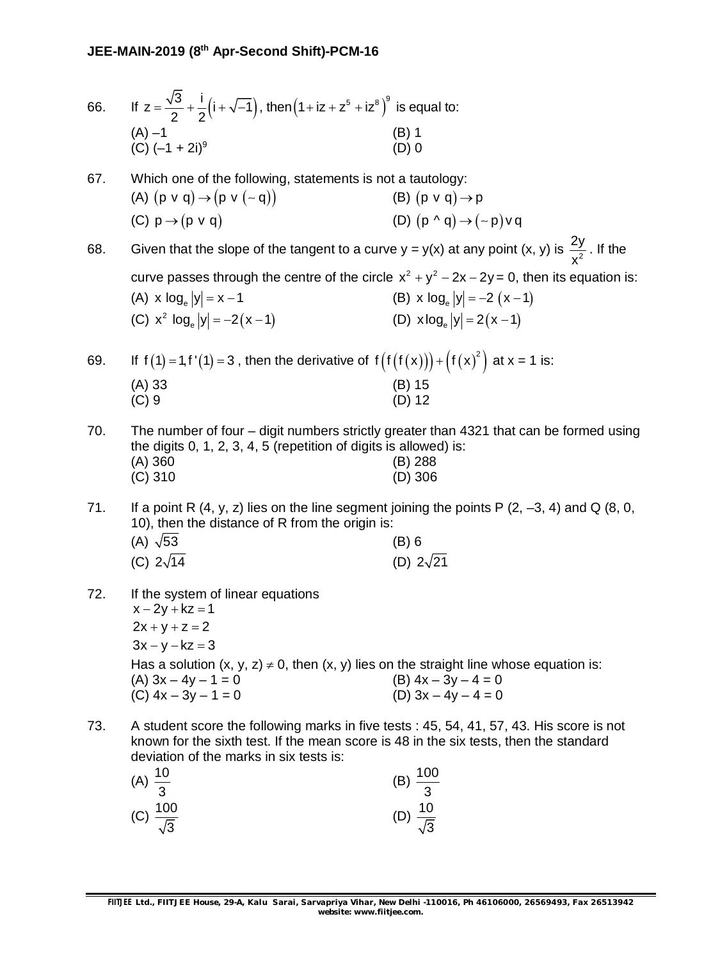| 66. | If $z = \frac{\sqrt{3}}{2} + \frac{i}{2}(i + \sqrt{-1})$ , then $(1 + iz + z^5 + iz^8)^9$ is equal to:                                                                                                                       |                                                                                  |
|-----|------------------------------------------------------------------------------------------------------------------------------------------------------------------------------------------------------------------------------|----------------------------------------------------------------------------------|
|     | (A) $-1$<br>(C) $(-1 + 2i)^9$                                                                                                                                                                                                | $(B)$ 1<br>$(D)$ 0                                                               |
| 67. | Which one of the following, statements is not a tautology:<br>(A) $(p \vee q) \rightarrow (p \vee (-q))$<br>(C) $p \rightarrow (p \vee q)$                                                                                   | (B) $(p \vee q) \rightarrow p$<br>(D) $(p \wedge q) \rightarrow (\sim p) \vee q$ |
| 68. | Given that the slope of the tangent to a curve $y = y(x)$ at any point $(x, y)$ is $\frac{2y}{x^2}$ . If the                                                                                                                 |                                                                                  |
|     | curve passes through the centre of the circle $x^2 + y^2 - 2x - 2y = 0$ , then its equation is:<br>(A) x $log_e  y  = x - 1$<br>(C) $x^2$ log <sub>e</sub> $ y  = -2(x-1)$                                                   | (B) x $log_e  y  = -2 (x - 1)$<br>(D) $x \log_e  y  = 2(x-1)$                    |
| 69. | If $f(1) = 1, f'(1) = 3$ , then the derivative of $f(f(f(x))) + (f(x)^2)$ at $x = 1$ is:                                                                                                                                     |                                                                                  |
|     | $(A)$ 33<br>$(C)$ 9                                                                                                                                                                                                          | (B) 15<br>$(D)$ 12                                                               |
| 70. | The number of four – digit numbers strictly greater than 4321 that can be formed using<br>the digits 0, 1, 2, 3, 4, 5 (repetition of digits is allowed) is:<br>$(A)$ 360<br>$(C)$ 310                                        | (B) 288<br>$(D)$ 306                                                             |
| 71. | If a point R $(4, y, z)$ lies on the line segment joining the points P $(2, -3, 4)$ and Q $(8, 0, 1)$<br>10), then the distance of R from the origin is:                                                                     |                                                                                  |
|     | (A) $\sqrt{53}$<br>(C) $2\sqrt{14}$                                                                                                                                                                                          | (B) 6<br>(D) $2\sqrt{21}$                                                        |
| 72. | If the system of linear equations<br>$x - 2y + kz = 1$<br>$2x + y + z = 2$<br>$3x - y - kz = 3$                                                                                                                              |                                                                                  |
|     | Has a solution $(x, y, z) \neq 0$ , then $(x, y)$ lies on the straight line whose equation is:<br>$(A)$ 3x - 4y - 1 = 0<br>$(C)$ 4x – 3y – 1 = 0                                                                             | $(B)$ 4x - 3y - 4 = 0<br>(D) $3x - 4y - 4 = 0$                                   |
| 73. | A student score the following marks in five tests : 45, 54, 41, 57, 43. His score is not<br>known for the sixth test. If the mean score is 48 in the six tests, then the standard<br>deviation of the marks in six tests is: |                                                                                  |
|     | 10                                                                                                                                                                                                                           | 100                                                                              |

| $\frac{100}{3}$<br>(B)    |
|---------------------------|
|                           |
| (D) $\frac{10}{\sqrt{3}}$ |
|                           |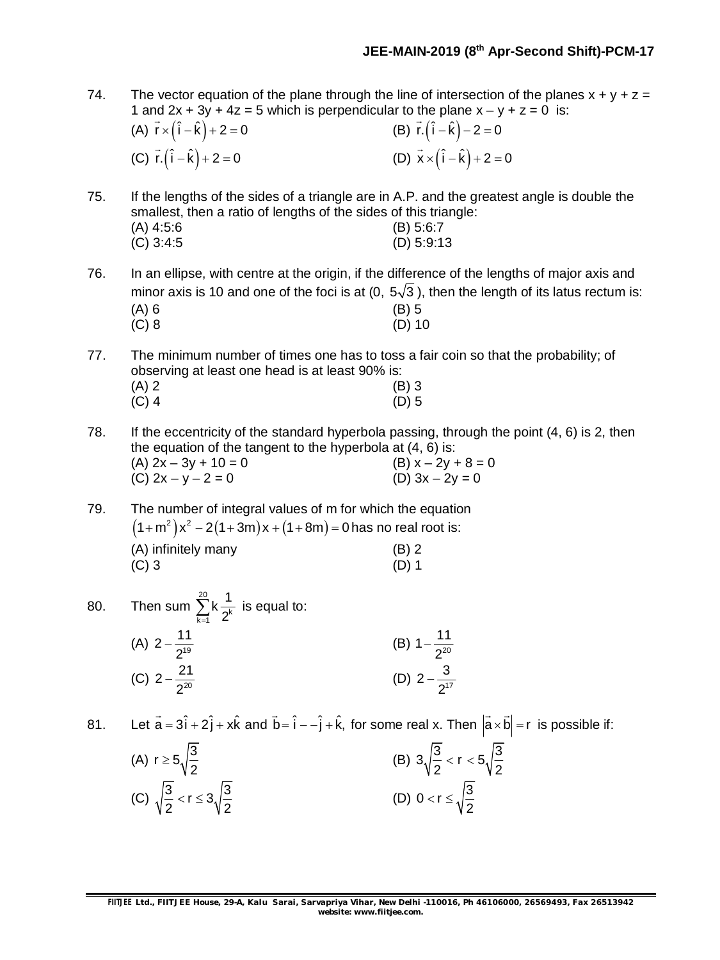- 74. The vector equation of the plane through the line of intersection of the planes  $x + y + z =$ 1 and  $2x + 3y + 4z = 5$  which is perpendicular to the plane  $x - y + z = 0$  is:
	- (A)  $\vec{r} \times (\hat{i} \hat{k}) + 2 = 0$ (B)  $\vec{r} \cdot (\hat{i} - \hat{k}) - 2 = 0$ (C)  $\vec{r} \cdot (\hat{i} - \hat{k}) + 2 = 0$ (D)  $\vec{x} \times (\hat{i} - \hat{k}) + 2 = 0$

75. If the lengths of the sides of a triangle are in A.P. and the greatest angle is double the smallest, then a ratio of lengths of the sides of this triangle: (A) 4:5:6 (B) 5:6:7<br>(C) 3:4:5 (D) 5:9:1  $(D)$  5:9:13

76. In an ellipse, with centre at the origin, if the difference of the lengths of major axis and minor axis is 10 and one of the foci is at (0,  $5\sqrt{3}$ ), then the length of its latus rectum is:  $(A) 6$  (B) 5 (C) 8 (D) 10

77. The minimum number of times one has to toss a fair coin so that the probability; of observing at least one head is at least 90% is:  $(A) 2$  (B) 3

78. If the eccentricity of the standard hyperbola passing, through the point (4, 6) is 2, then the equation of the tangent to the hyperbola at (4, 6) is: (A)  $2x - 3y + 10 = 0$  (B)  $x - 2y + 8 = 0$ (C)  $2x - y - 2 = 0$  (D)  $3x - 2y = 0$ 

79. The number of integral values of m for which the equation  $(1 + m^2)x^2 - 2(1 + 3m)x + (1 + 8m) = 0$  has no real root is: (A) infinitely many (B) 2  $(C)$  3 (D) 1

 $(C)$  4 (D) 5

80. Then sum  $\sum^{20}$  $\sum_{k=1}^{\infty}$   $2^k$  $k\frac{1}{a^k}$  $\sum_{k=1}^{\infty} k \frac{1}{2^k}$  is equal to: (A)  $2-\frac{11}{2^{19}}$ 2  $-\frac{1}{2^{19}}$  (B)  $1-\frac{11}{2^{20}}$ 2  $\overline{\phantom{a}}$ (C)  $2-\frac{21}{2^{20}}$ 2  $-\frac{21}{2^{20}}$  (D)  $2-\frac{3}{2^{17}}$ 2  $\overline{a}$ 

81. Let  $\vec{a} = 3\hat{i} + 2\hat{j} + x\hat{k}$  and  $\vec{b} = \hat{i} - \hat{j} + \hat{k}$ , for some real x. Then  $|\vec{a} \times \vec{b}| = r$  $\rightarrow$   $\rightarrow$ is possible if:

| (A) $r \ge 5\sqrt{\frac{3}{2}}$                      | (B) $3\sqrt{\frac{3}{2}} < r < 5\sqrt{\frac{3}{2}}$ |
|------------------------------------------------------|-----------------------------------------------------|
| (C) $\sqrt{\frac{3}{2}} < r \le 3\sqrt{\frac{3}{2}}$ | (D) $0 < r \le \sqrt{\frac{3}{2}}$                  |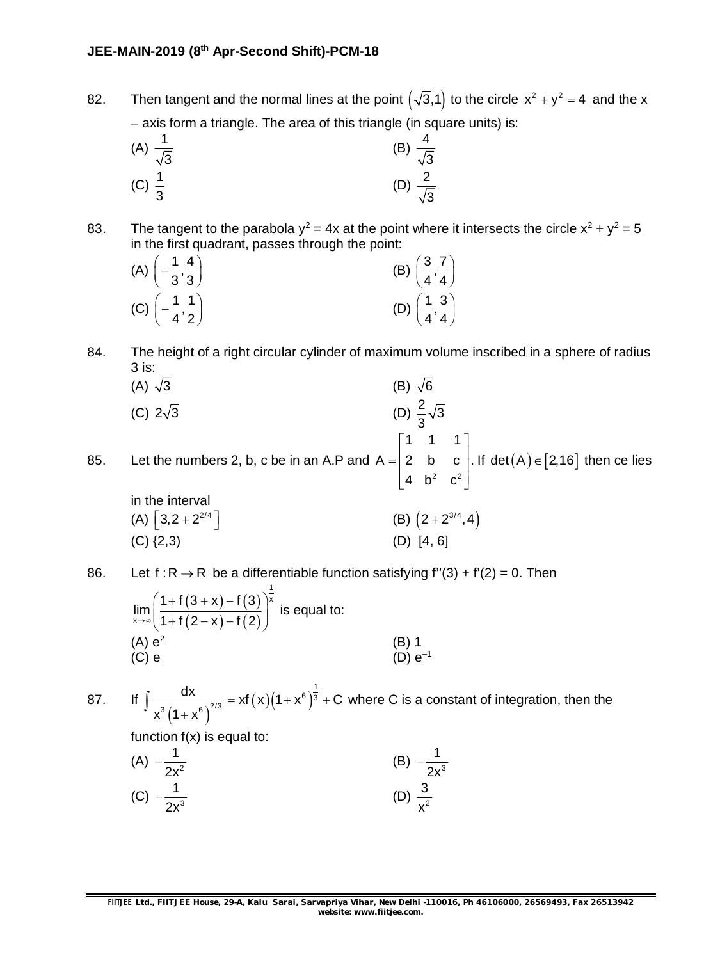82. Then tangent and the normal lines at the point  $(\sqrt{3},1)$  to the circle  $x^2 + y^2 = 4$  and the x – axis form a triangle. The area of this triangle (in square units) is:

(A) 
$$
\frac{1}{\sqrt{3}}
$$
 (B)  $\frac{4}{\sqrt{3}}$   
(C)  $\frac{1}{3}$  (D)  $\frac{2}{\sqrt{3}}$ 

83. The tangent to the parabola  $y^2 = 4x$  at the point where it intersects the circle  $x^2 + y^2 = 5$ in the first quadrant, passes through the point:

| (A) $\left(-\frac{1}{3},\frac{4}{3}\right)$ | (B) $\left(\frac{3}{4},\frac{7}{4}\right)$  |
|---------------------------------------------|---------------------------------------------|
| (C) $\left(-\frac{1}{4},\frac{1}{2}\right)$ | (D) $\left(\frac{1}{4}, \frac{3}{4}\right)$ |

84. The height of a right circular cylinder of maximum volume inscribed in a sphere of radius 3 is:<br> $(A)$ ,  $\sqrt{3}$ (B)  $\sqrt{6}$ 

(A) 
$$
\sqrt{3}
$$
  
\n(B)  $\sqrt{6}$   
\n(C)  $2\sqrt{3}$   
\n(D)  $\frac{2}{3}\sqrt{3}$ 

85. Let the numbers 2, b, c be in an A.P and A =  $2\,$  b  $\,$  c  $\,$  l. If det  $(A) \in [2,16]$ 2  $\sim$  2 1 1 1  $\mathsf{A}=\begin{bmatrix} 2 & \mathsf{b} & \mathsf{c} \end{bmatrix}$ . If det $(\mathsf{A})\!\in\!\lbrack 2,\!16\rbrack$ 4  $b^2$   $c^2$  $\begin{array}{|c|c|c|c|c|c|c|c|} \hline 1 & 1 & 1 \end{array}$  $=\begin{vmatrix} 2 & b & c \end{vmatrix}$ . If det  $(A) \in$  $\begin{bmatrix} 4 & b^2 & c^2 \end{bmatrix}$ then ce lies

3

in the interval  
\n(A) 
$$
[3,2+2^{2/4}]
$$
  
\n(B)  $(2+2^{3/4},4)$   
\n(C)  $\{2,3\}$   
\n(D)  $[4, 6]$ 

86. Let  $f: R \to R$  be a differentiable function satisfying  $f''(3) + f'(2) = 0$ . Then

$$
\lim_{x \to \infty} \left( \frac{1 + f(3 + x) - f(3)}{1 + f(2 - x) - f(2)} \right)^{\frac{1}{x}}
$$
 is equal to:  
\n(A)  $e^2$  (B) 1  
\n(C) e (D)  $e^{-1}$ 

87. If  $(1 + X^{\circ})$  $(x)(1+x^{\circ})^3$  $6\sqrt{3}$  $\frac{dx}{(1+x^6)^{2/3}} = xf(x)(1+x^6)^{\frac{1}{3}} + C$  $x^3(1+x^6)$  $= x f(x)(1+x^6)^3 + 0$  $\int \frac{dx}{x^3(1+x^6)^{2/3}} = xf(x)(1+x^6)^3 + C$  where C is a constant of integration, then the

function  $f(x)$  is equal to:

(A) 
$$
-\frac{1}{2x^2}
$$
 (B)  $-\frac{1}{2x^3}$   
(C)  $-\frac{1}{2x^3}$  (D)  $\frac{3}{x^2}$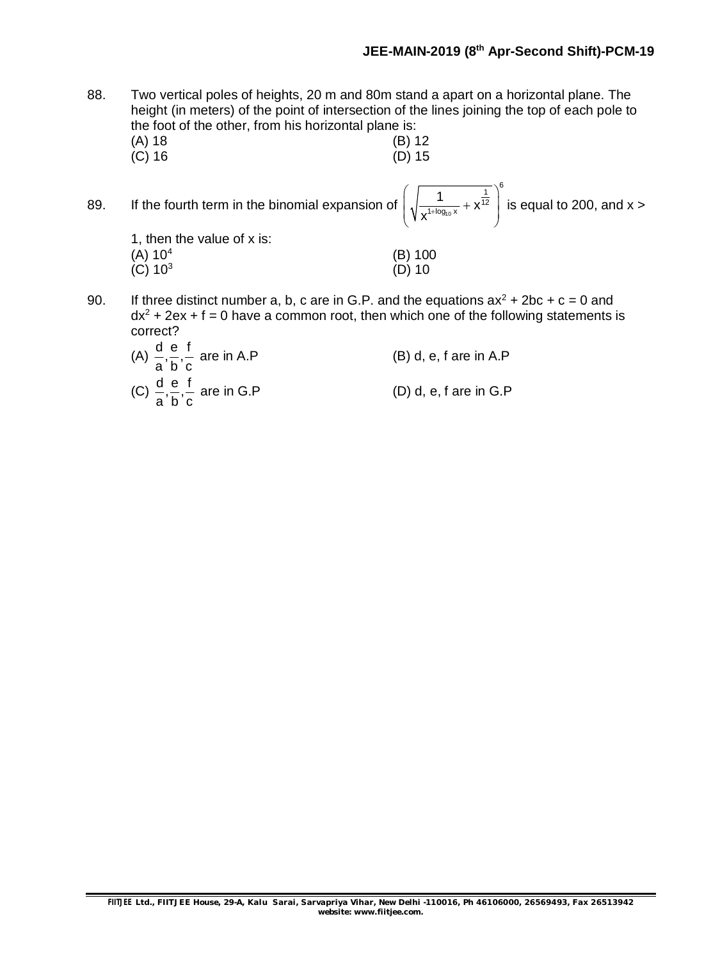88. Two vertical poles of heights, 20 m and 80m stand a apart on a horizontal plane. The height (in meters) of the point of intersection of the lines joining the top of each pole to the foot of the other, from his horizontal plane is:

- (A) 18 (B) 12<br>(C) 16 (D) 15  $(C)$  16 89. If the fourth term in the binomial expansion of  $\sqrt{\frac{1}{\mathbf{Y}^{1+\log_{10}}}}$  $\overline{1}$ <sup>6</sup>  $\frac{1}{1+\log_{10} x} + X^{12}$  $\frac{1}{\log x} + x$  $\left(\sqrt{\frac{1}{x^{1+\log_{10} x}} + x^{\frac{1}{12}}}\right)^3$  $\begin{pmatrix} 1 & 1 & 1 \\ 1 & 1 & 1 \\ 1 & 1 & 1 \end{pmatrix}$ is equal to 200, and  $x > 0$ 1, then the value of x is:  $(A) 10<sup>4</sup>$ (B) 100  $(C) 10<sup>3</sup>$ (D) 10 90. If three distinct number a, b, c are in G.P. and the equations  $ax^2 + 2bc + c = 0$  and
- $dx^{2}$  + 2ex + f = 0 have a common root, then which one of the following statements is correct?
	- (A)  $\frac{d}{dx}$ ,  $\frac{e}{dx}$ ,  $\frac{f}{dx}$ a´b´c  $(B)$  d, e, f are in A.P (C)  $\frac{d}{dx} = \frac{e}{dx} + \frac{f}{dx}$ a´b´c  $(D)$  d, e, f are in  $G.P$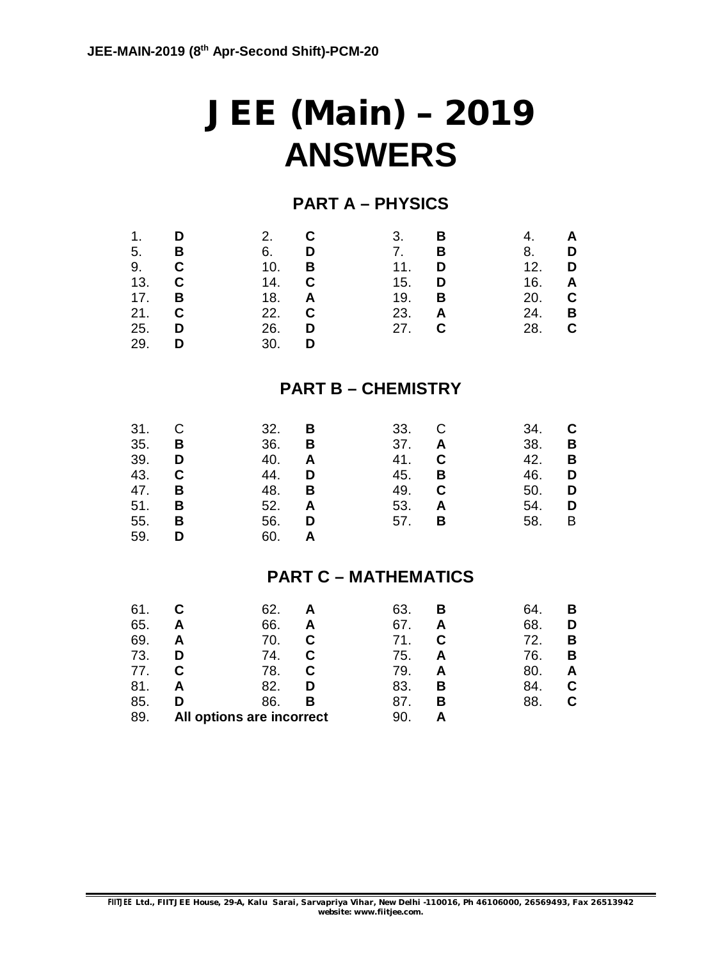# **JEE (Main) – 2019 ANSWERS**

### **PART A – PHYSICS**

| 1.<br>5.<br>9.<br>13.<br>17.<br>21.<br>25.<br>29. | D<br>в<br>С<br>C<br>в<br>С<br>D<br>D | 2.<br>6.<br>10.<br>14.<br>18.<br>22.<br>26.<br>30. | C<br>D<br>В<br>C<br>A<br>С<br>D<br>D | 3.<br>7.<br>11.<br>15.<br>19.<br>23.<br>27.<br><b>PART B - CHEMISTRY</b> | в<br>в<br>D<br>D<br>в<br>A<br>C | 4.<br>8.<br>12.<br>16.<br>20.<br>24.<br>28. | A<br>D<br>D<br>A<br>C<br>В<br>С |
|---------------------------------------------------|--------------------------------------|----------------------------------------------------|--------------------------------------|--------------------------------------------------------------------------|---------------------------------|---------------------------------------------|---------------------------------|
| 31.<br>35.                                        | в                                    | 32.<br>36.                                         | в<br>в                               | 33.<br>37.                                                               | А                               | 34.<br>38.                                  | в                               |

| 35. <b>B</b> |          | 36. <b>B</b> |   | 37. <b>A</b> |          | 38. <b>B</b> |     |
|--------------|----------|--------------|---|--------------|----------|--------------|-----|
| 39. D        |          | 40.          | A | 41.          | C        | 42.          | - B |
| 43.          | - C      | 44.          | D | 45.          | B        | 46. <b>D</b> |     |
| 47. <b>B</b> |          | 48.          | В | 49.          | C        | 50. <b>D</b> |     |
| 51.          | — В      | 52. <b>A</b> |   | 53.          | A        | 54. <b>D</b> |     |
| 55.          | <b>B</b> | 56.          | D | 57.          | <b>B</b> | 58. B        |     |
| 59.          | D        | 60.          | A |              |          |              |     |

### **PART C – MATHEMATICS**

| 61. |   | 62.                       | 63. | в | 64  | в |
|-----|---|---------------------------|-----|---|-----|---|
| 65. | А | 66.<br>Α                  | 67. |   | 68. |   |
| 69. | А | 70.                       | 71. | C | 72. | В |
| 73. | D | 74.                       | 75. | А | 76. | в |
| 77. |   | 78.                       | 79. |   | 80. |   |
| 81. | А | 82.<br>D                  | 83. | в | 84. |   |
| 85. | ח | 86.<br>в                  | 87. | в | 88. |   |
| 89. |   | All options are incorrect | 90  |   |     |   |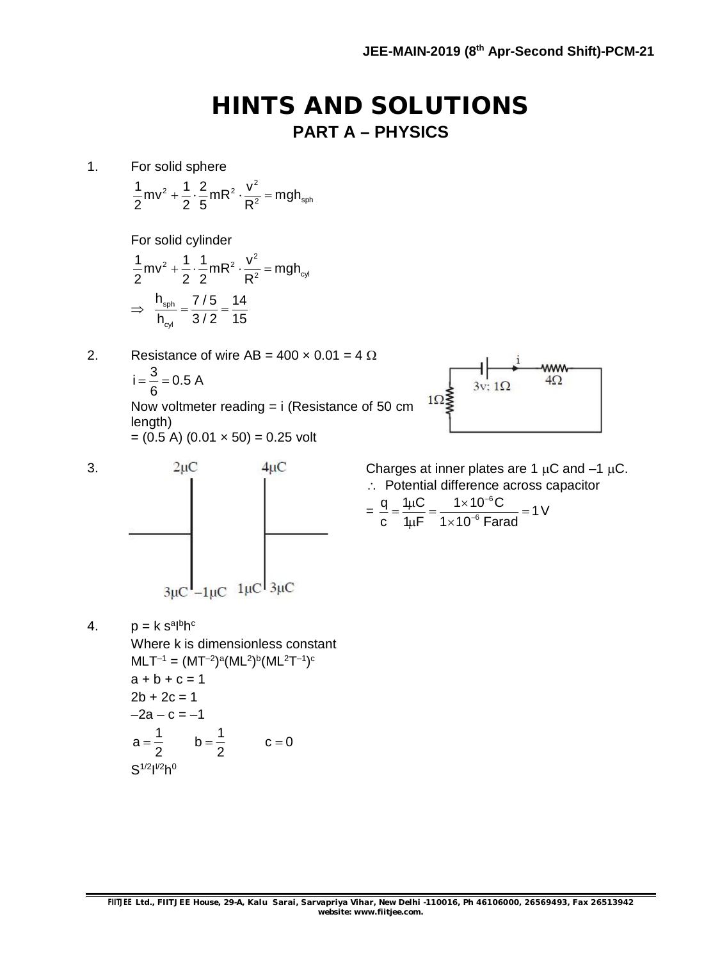## **HINTS AND SOLUTIONS PART A – PHYSICS**

1. For solid sphere

 $\frac{1}{2}$ mv<sup>2</sup> +  $\frac{1}{2}$  ·  $\frac{2}{5}$ mR<sup>2</sup> ·  $\frac{v^2}{R^2}$  = mgh<sub>sph</sub> 2 2 5 R +  $\frac{1}{2}$  ·  $\frac{1}{2}$  mR<sup>2</sup> ·  $\frac{1}{2}$  = r

For solid cylinder

$$
\frac{1}{2}mv^{2} + \frac{1}{2} \cdot \frac{1}{2}mR^{2} \cdot \frac{v^{2}}{R^{2}} = mgh_{cyl}
$$

$$
\Rightarrow \frac{h_{sph}}{h_{cyl}} = \frac{7/5}{3/2} = \frac{14}{15}
$$

2. Resistance of wire  $AB = 400 \times 0.01 = 4 \Omega$  $i = \frac{3}{2} = 0.5 A$ 6  $=\frac{6}{6}$  = 0 Now voltmeter reading = i (Resistance of 50 cm

length)  $= (0.5 \text{ A}) (0.01 \times 50) = 0.25 \text{ volt}$ 



3.  $2\mu$ C  $4\mu$ C Charges at inner plates are 1  $\mu$ C and -1  $\mu$ C. =  $3\mu$ C  $-1\mu$ C  $1\mu$ C  $3\mu$ C

4. p = k s<sup>a</sup>l<sup>b</sup>h<sup>c</sup> Where k is dimensionless constant  $\mathsf{MLT^{-1}} = (\mathsf{MT^{-2}})^a (\mathsf{ML^{-2}})^b (\mathsf{ML^{-2}T^{-1}})^c$  $a + b + c = 1$  $2b + 2c = 1$  $-2a - c = -1$  $a = \frac{1}{2}$  b =  $\frac{1}{2}$  c = 0 2 2  $=$   $\frac{1}{2}$  b =  $\frac{1}{2}$  c = 0

$$
S^{1/2}I^{1/2}h^0
$$

:. Potential difference across capacitor

$$
= \frac{q}{c} = \frac{1 \mu C}{1 \mu F} = \frac{1 \times 10^{-6} C}{1 \times 10^{-6} \text{ Farad}} = 1 \text{ V}
$$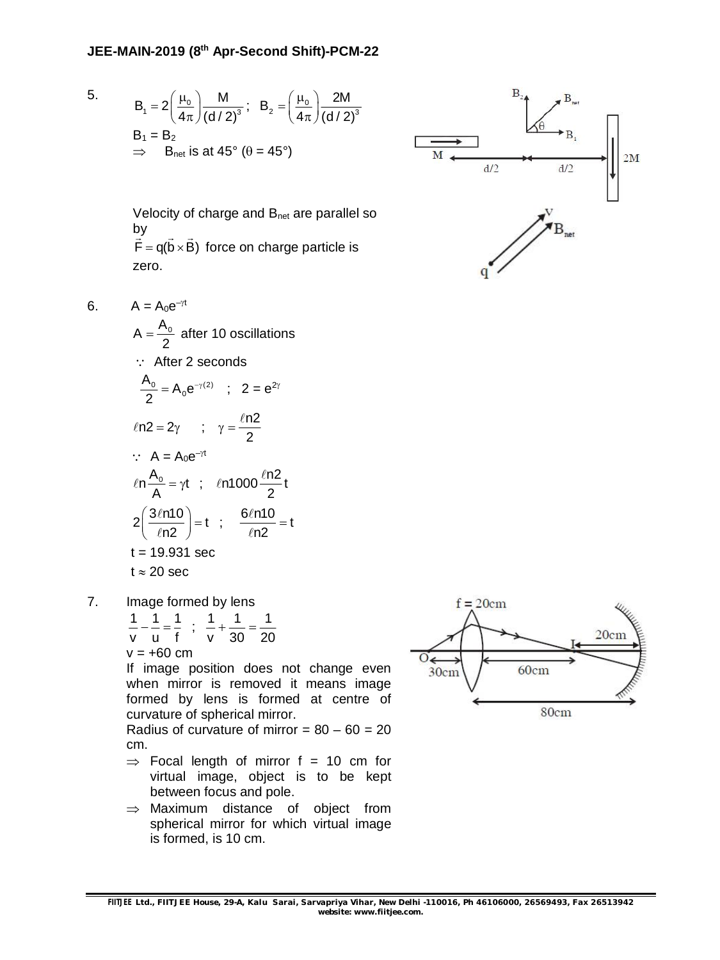5. 
$$
B_1 = 2\left(\frac{\mu_0}{4\pi}\right) \frac{M}{(d/2)^3}
$$
;  $B_2 = \left(\frac{\mu_0}{4\pi}\right) \frac{2M}{(d/2)^3}$   
\n $B_1 = B_2$   
\n $\implies$  B<sub>net</sub> is at 45° ( $\theta = 45$ °)



Velocity of charge and B<sub>net</sub> are parallel so by  $F = q(b \times B)$  $\frac{dy}{dx}$   $\rightarrow$   $\rightarrow$ force on charge particle is zero.

6. 
$$
A = A_0 e^{-\gamma t}
$$
  
\n $A = \frac{A_0}{2}$  after 10 oscillations  
\n $\therefore$  After 2 seconds  
\n $\frac{A_0}{2} = A_0 e^{-\gamma(2)}$ ;  $2 = e^{2\gamma}$   
\n $\ln 2 = 2\gamma$ ;  $\gamma = \frac{\ln 2}{2}$   
\n $\therefore A = A_0 e^{-\gamma t}$   
\n $\ln \frac{A_0}{A} = \gamma t$ ;  $\ln 1000 \frac{\ln 2}{2} t$   
\n $2(\frac{3\ln 10}{\ln 2}) = t$ ;  $\frac{6\ln 10}{\ln 2} = t$   
\n $t = 19.931 \text{ sec}$   
\n $t \approx 20 \text{ sec}$ 

- 7. Image formed by lens
	- 1 1 1 1 1 1 ; v u f v 30 20  $---=-$ ;  $-+=$  $v = +60$  cm

If image position does not change even when mirror is removed it means image formed by lens is formed at centre of curvature of spherical mirror.

Radius of curvature of mirror =  $80 - 60 = 20$ cm.

- $\Rightarrow$  Focal length of mirror f = 10 cm for virtual image, object is to be kept between focus and pole.
- $\Rightarrow$  Maximum distance of object from spherical mirror for which virtual image is formed, is 10 cm.

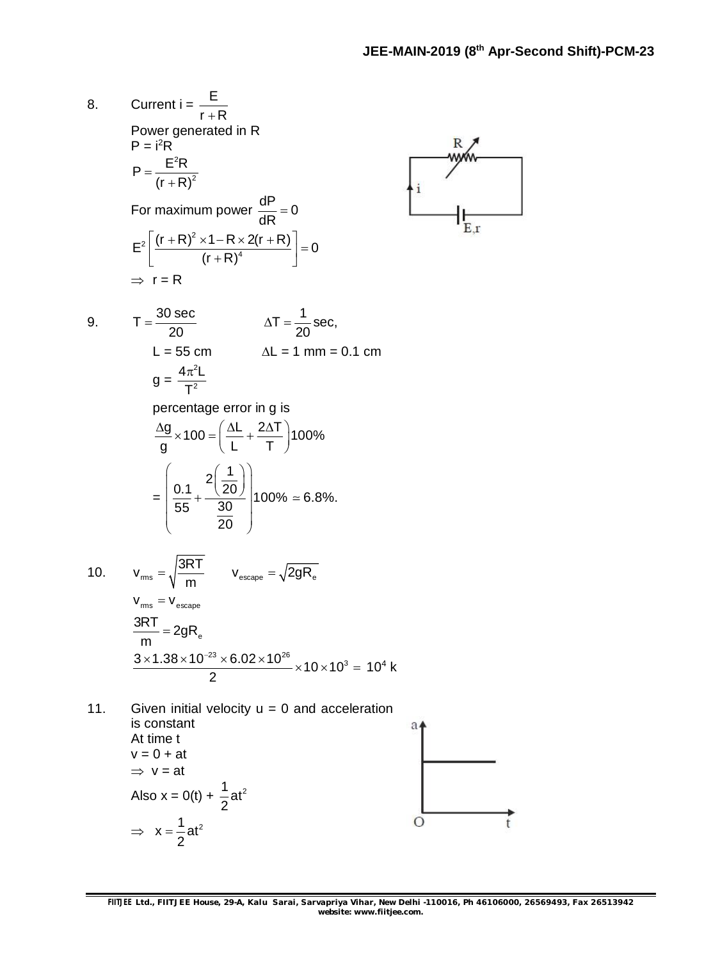8. Current i = 
$$
\frac{E}{r+R}
$$
  
\nPower generated in R  
\n $P = \frac{E^2 R}{(r+R)^2}$   
\nFor maximum power  $\frac{dP}{dR} = 0$   
\n $E^2 \left[ \frac{(r+R)^2 \times 1 - R \times 2(r+R)}{(r+R)^4} \right] = 0$   
\n $\Rightarrow r = R$   
\n9. T =  $\frac{30 \text{ sec}}{20}$   $\Delta T = \frac{1}{20} \text{ sec}$ ,  
\nL = 55 cm  $\Delta L = 1 \text{ mm} = 0.1 \text{ cm}$   
\n $g = \frac{4\pi^2 L}{T^2}$   
\npercentage error in g is  
\n $\frac{\Delta g}{g} \times 100 = (\frac{\Delta L}{L} + \frac{2\Delta T}{T})100\%$   
\n $= (\frac{0.1}{55} + \frac{2(\frac{1}{20})}{30})100\% = 6.8\%$ .  
\n10.  $V_{rms} = \sqrt{\frac{3RT}{m}}$   $V_{escape} = \sqrt{2gR_e}$   
\n $\frac{3RT}{m} = 2gR_e$   
\n $\frac{3RT}{m} = 2gR_e$   
\n $\frac{3 \times 1.38 \times 10^{-23} \times 6.02 \times 10^{26}}{2} \times 10 \times 10^3 = 10^4 \text{ k}$   
\n11. Given initial velocity  $u = 0$  and acceleration  
\nis constant  
\nAt time t  
\n $v = 0 + at$   
\n $\Rightarrow v = at$   
\nAlso  $x = 0(t) + \frac{1}{2}at^2$   
\n $\Rightarrow x = \frac{1}{2}at^2$ 

2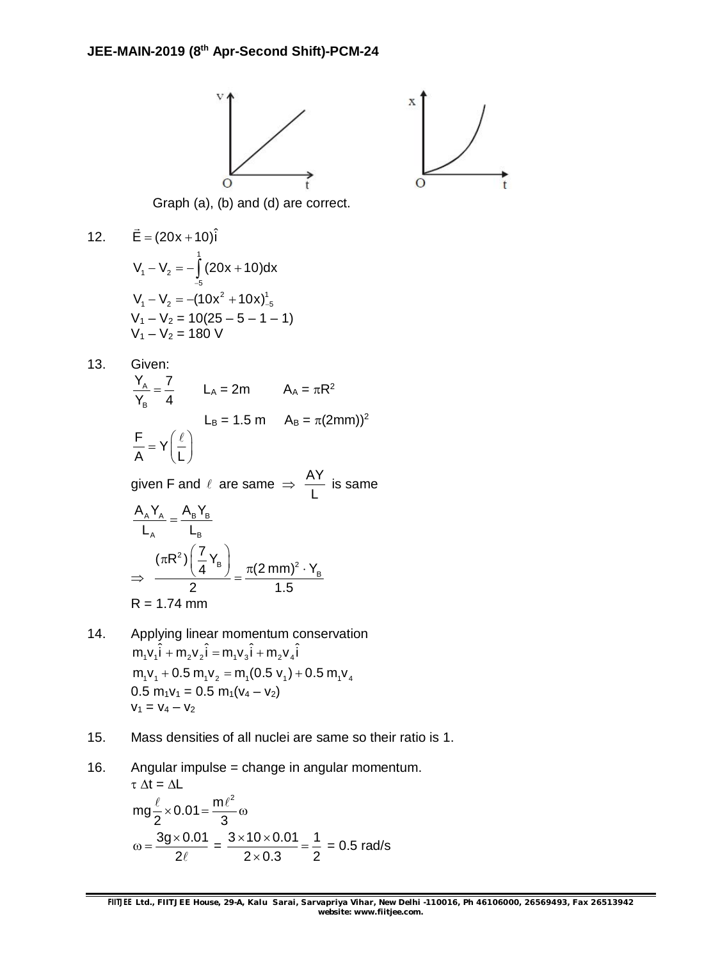



Graph (a), (b) and (d) are correct.

12. 
$$
\vec{E} = (20x + 10)\hat{i}
$$

$$
V_1 - V_2 = -\int_{-5}^{1} (20x + 10) dx
$$

$$
V_1 - V_2 = -(10x^2 + 10x)_{-5}^{1}
$$

$$
V_1 - V_2 = 10(25 - 5 - 1 - 1)
$$

$$
V_1 - V_2 = 180 \text{ V}
$$

13. Given:

$$
\frac{Y_A}{Y_B} = \frac{7}{4}
$$
 L<sub>A</sub> = 2m A<sub>A</sub> =  $\pi R^2$   
L<sub>B</sub> = 1.5 m A<sub>B</sub> =  $\pi (2mm)$ <sup>2</sup>  

$$
\frac{F}{A} = Y \left(\frac{\ell}{L}\right)
$$

given F and  $\ell$  are same  $\Rightarrow$   $\frac{AY}{A}$ L is same

$$
\frac{A_A Y_A}{L_A} = \frac{A_B Y_B}{L_B}
$$
\n
$$
\Rightarrow \frac{(\pi R^2) \left(\frac{7}{4} Y_B\right)}{2} = \frac{\pi (2 \text{ mm})^2 \cdot Y_B}{1.5}
$$
\n
$$
R = 1.74 \text{ mm}
$$

- 14. Applying linear momentum conservation  $m_1 v_1 \hat{i} + m_2 v_2 \hat{i} = m_1 v_3 \hat{i} + m_2 v_4 \hat{i}$  $m_1v_1 + 0.5 m_1v_2 = m_1(0.5 v_1) + 0.5 m_1v_4$  $0.5 m_1v_1 = 0.5 m_1(v_4 - v_2)$  $V_1 = V_4 - V_2$
- 15. Mass densities of all nuclei are same so their ratio is 1.

16. Angular impulse = change in angular momentum.  
\n
$$
\tau \Delta t = \Delta L
$$
\n
$$
mg\frac{\ell}{2} \times 0.01 = \frac{m\ell^2}{3}\omega
$$
\n
$$
\omega = \frac{3g \times 0.01}{2\ell} = \frac{3 \times 10 \times 0.01}{2 \times 0.3} = \frac{1}{2} = 0.5 \text{ rad/s}
$$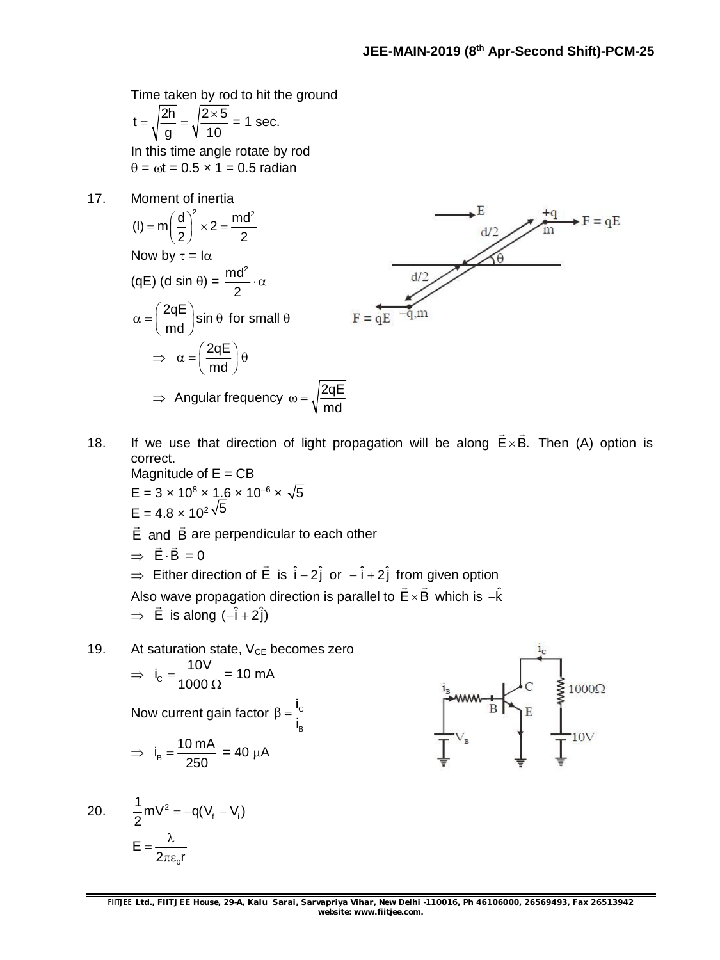Time taken by rod to hit the ground

$$
t = \sqrt{\frac{2h}{g}} = \sqrt{\frac{2 \times 5}{10}} = 1
$$
 sec.

In this time angle rotate by rod  $\theta = \omega t = 0.5 \times 1 = 0.5$  radian

17. Moment of inertia



18. If we use that direction of light propagation will be along  $E \times B$ .  $\overline{a}$ Then (A) option is correct. Magnitude of  $E = CB$ 

$$
E = 3 \times 10^8 \times 1.6 \times 10^{-6} \times \sqrt{5}
$$
  
\n
$$
E = 4.8 \times 10^{2} \sqrt{5}
$$
  
\n
$$
\vec{E}
$$
 and  $\vec{B}$  are perpendicular to each other  
\n
$$
\Rightarrow \vec{E} \cdot \vec{B} = 0
$$
  
\n
$$
\Rightarrow
$$
 Either direction of  $\vec{E}$  is  $\hat{i} - 2\hat{j}$  or  $-\hat{i} + 2\hat{j}$  from given option  
\nAlso wave propagation direction is parallel to  $\vec{E} \times \vec{B}$  which is  $-\hat{k}$   
\n
$$
\Rightarrow \vec{E}
$$
 is along  $(-\hat{i} + 2\hat{j})$ 

19. At saturation state,  $V_{CE}$  becomes zero  $\Rightarrow i_c = \frac{10V}{1000}$ 1000  $=$ Ω = 10 mA Now current gain factor  $\beta = \frac{C}{c}$ B i i  $\beta = \frac{1}{2}$  $\Rightarrow$   $i_{\text{B}} = \frac{10 \text{ mA}}{250}$  $=\frac{18 \text{ m/s}}{258}$  = 40 µA

$$
\begin{array}{ccc}\n\downarrow_{B} & & \downarrow_{C} & \downarrow_{C} \\
\downarrow_{B} & & \downarrow_{B} & \downarrow_{C} & \downarrow_{C} \\
\hline\n\downarrow_{V_{B}} & & \downarrow_{E} & \downarrow_{C} \\
\hline\n\downarrow_{V_{B}} & & \downarrow_{E} & \downarrow_{C} \\
\hline\n\downarrow_{V_{B}} & & \downarrow_{E} & \downarrow_{C} & \downarrow_{C} \\
\hline\n\downarrow_{V_{B}} & & \downarrow_{E} & \downarrow_{C} & \downarrow_{C} & \downarrow_{C} \\
\hline\n\downarrow_{V_{B}} & & \downarrow_{E} & \downarrow_{C} & \downarrow_{C} & \downarrow_{C} \\
\hline\n\downarrow_{V_{B}} & & \downarrow_{E} & \downarrow_{C} & \downarrow_{C} & \downarrow_{C} & \downarrow_{C} \\
\hline\n\downarrow_{V_{B}} & & \downarrow_{V_{B}} & \downarrow_{V_{B}} & \downarrow_{V_{B}} & \downarrow_{C} & \downarrow_{C} & \downarrow_{C} & \downarrow_{C} \\
\hline\n\downarrow_{V_{B}} & & \downarrow_{V_{B}} & \downarrow_{V_{B}} & \downarrow_{V_{B}} & \downarrow_{V_{B}} & \downarrow_{V_{B}} & \downarrow_{V_{B}} & \downarrow_{V_{B}} & \downarrow_{V_{B}} & \downarrow_{V_{B}} & \downarrow_{V_{B}} & \downarrow_{V_{B}} & \downarrow_{V_{B}} & \downarrow_{V_{B}} & \downarrow_{V_{B}} & \downarrow_{V_{B}} & \downarrow_{V_{B}} & \downarrow_{V_{B}} & \downarrow_{V_{B}} & \downarrow_{V_{B}} & \downarrow_{V_{B}} & \downarrow_{V_{B}} & \downarrow_{V_{B}} & \downarrow_{V_{B}} & \downarrow_{V_{B}} & \downarrow_{V_{B}} & \downarrow_{V_{B}} & \downarrow_{V_{B}} & \downarrow_{V_{B}} & \downarrow_{V_{B}} & \downarrow_{V_{B}} & \downarrow_{V_{B}} & \downarrow_{V_{B}} & \downarrow_{V_{B}} & \downarrow_{V_{B}} & \downarrow_{V_{B}} & \downarrow_{V_{B}} & \downarrow_{V_{B}} & \downarrow_{V_{B}} & \downarrow_{V_{B}} & \downarrow_{V_{B}} & \downarrow_{V_{B}} & \downarrow_{V_{B}} & \downarrow_{V_{B}} & \downarrow_{V_{B
$$

20. 
$$
\frac{1}{2} mV^2 = -q(V_f - V_i)
$$

$$
E = \frac{\lambda}{2\pi\epsilon_0 r}
$$

250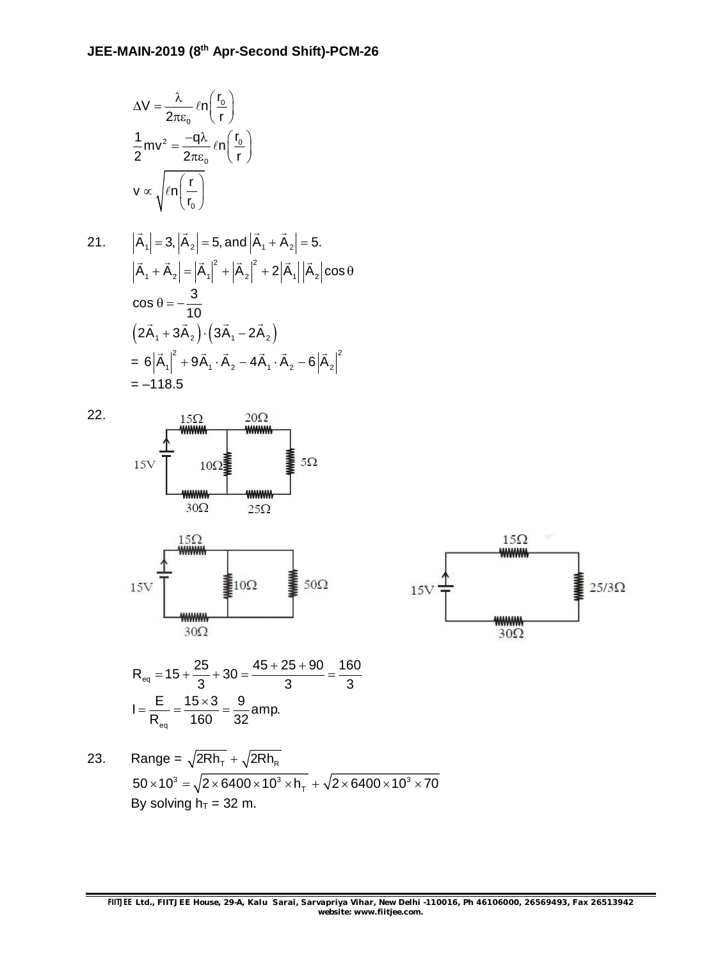$$
\Delta V = \frac{\lambda}{2\pi\epsilon_0} \ln\left(\frac{r_0}{r}\right)
$$

$$
\frac{1}{2}mv^2 = \frac{-q\lambda}{2\pi\epsilon_0} \ln\left(\frac{r_0}{r}\right)
$$

$$
v \propto \sqrt{\ln\left(\frac{r}{r_0}\right)}
$$

21. 
$$
|\vec{A}_1| = 3, |\vec{A}_2| = 5, \text{ and } |\vec{A}_1 + \vec{A}_2| = 5.
$$
  
\n $|\vec{A}_1 + \vec{A}_2| = |\vec{A}_1|^2 + |\vec{A}_2|^2 + 2|\vec{A}_1||\vec{A}_2|\cos\theta$   
\n $\cos\theta = -\frac{3}{10}$   
\n $(2\vec{A}_1 + 3\vec{A}_2) \cdot (3\vec{A}_1 - 2\vec{A}_2)$   
\n $= 6|\vec{A}_1|^2 + 9\vec{A}_1 \cdot \vec{A}_2 - 4\vec{A}_1 \cdot \vec{A}_2 - 6|\vec{A}_2|^2$   
\n $= -118.5$ 







$$
R_{eq} = 15 + \frac{25}{3} + 30 = \frac{45 + 25 + 90}{3} = \frac{160}{3}
$$

$$
I = \frac{E}{R_{eq}} = \frac{15 \times 3}{160} = \frac{9}{32}
$$
amp.

23. Range = 
$$
\sqrt{2Rh_{T}} + \sqrt{2Rh_{R}}
$$
  
\n $50 \times 10^{3} = \sqrt{2 \times 6400 \times 10^{3} \times h_{T}} + \sqrt{2 \times 6400 \times 10^{3} \times 70}$   
\nBy solving h<sub>T</sub> = 32 m.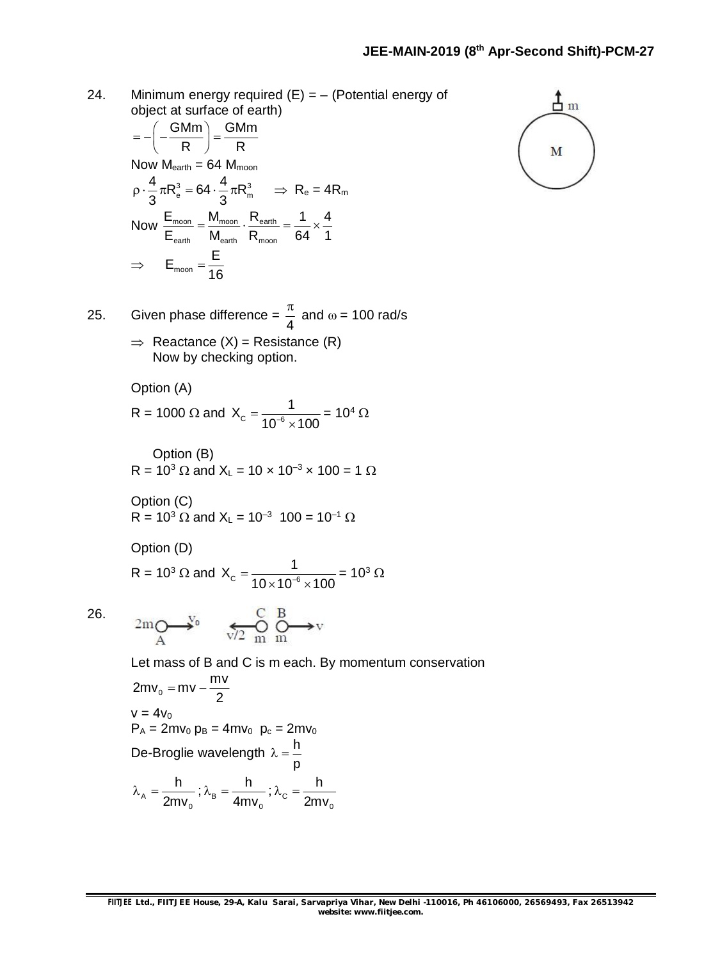24. Minimum energy required  $(E) = -$  (Potential energy of object at surface of earth)

$$
= -\left(-\frac{GMm}{R}\right) = \frac{GMm}{R}
$$
  
\nNow M<sub>earth</sub> = 64 M<sub>moon</sub>  
\n
$$
\rho \cdot \frac{4}{3} \pi R_e^3 = 64 \cdot \frac{4}{3} \pi R_m^3 \implies R_e = 4R_m
$$
  
\nNow  $\frac{E_{moon}}{E_{earth}} = \frac{M_{moon}}{M_{earth}} \cdot \frac{R_{earth}}{R_{moon}} = \frac{1}{64} \times \frac{4}{1}$   
\n $\implies E_{moon} = \frac{E}{16}$ 

25. Given phase difference = 
$$
\frac{\pi}{4}
$$
 and  $\omega$  = 100 rad/s

 $\Rightarrow$  Reactance (X) = Resistance (R) Now by checking option.

Option (A)

$$
R = 1000 \ \Omega \text{ and } X_c = \frac{1}{10^{-6} \times 100} = 10^4 \ \Omega
$$

Option (B) R =  $10^3 \Omega$  and X<sub>L</sub> =  $10 \times 10^{-3} \times 100 = 1 \Omega$ 

Option (C) R = 10<sup>3</sup> and X<sup>L</sup> = 10–3 100 = 10–1

Option (D)

$$
R = 10^3 \,\Omega \text{ and } X_c = \frac{1}{10 \times 10^{-6} \times 100} = 10^3 \,\Omega
$$

26.

$$
2m \underset{A}{\bigcirc} \xrightarrow{\hspace*{1.5cm}} V_0 \qquad \underset{v/2}{\underbrace{\hspace*{1.5cm}} \xrightarrow{C}} \underset{m}{\overset{B}{\bigcirc}} \xrightarrow{B} v
$$

Let mass of B and C is m each. By momentum conservation

$$
2mv_0 = mv - \frac{mv}{2}
$$
  
\n
$$
v = 4v_0
$$
  
\n
$$
P_A = 2mv_0 p_B = 4mv_0 p_c = 2mv_0
$$
  
\n
$$
De-Broglie wavelength \lambda = \frac{h}{p}
$$
  
\n
$$
\lambda_A = \frac{h}{2mv_0}; \lambda_B = \frac{h}{4mv_0}; \lambda_C = \frac{h}{2mv_0}
$$

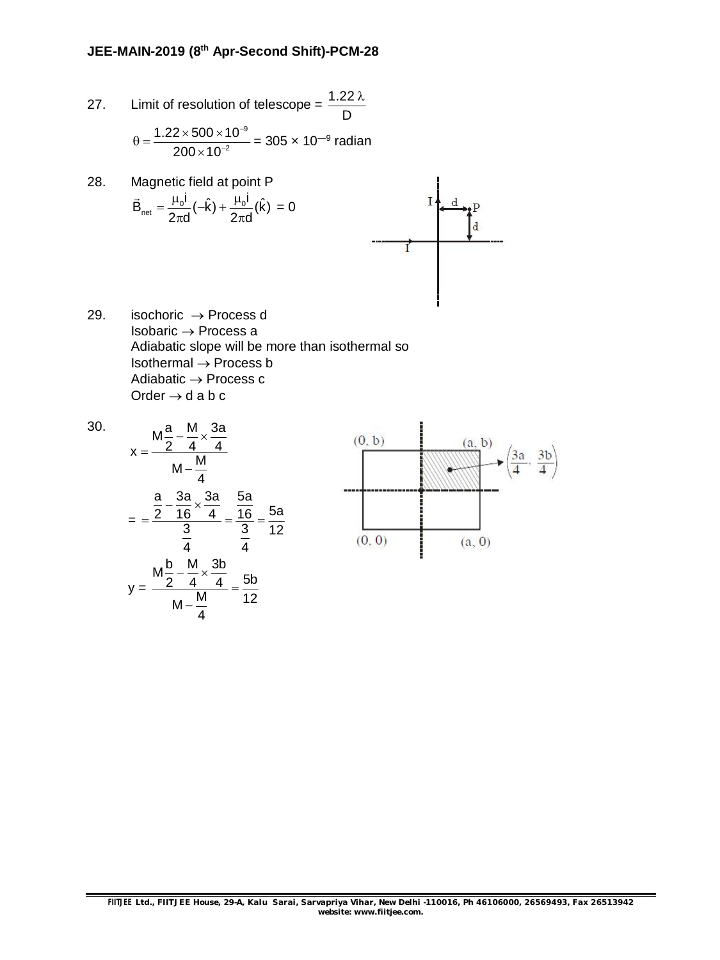27. Limit of resolution of telescope =  $\frac{1.22}{\epsilon}$ D  $\lambda$ 

$$
\theta = \frac{1.22 \times 500 \times 10^{-9}}{200 \times 10^{-2}} = 305 \times 10^{-9}
$$
 radian

- 28. Magnetic field at point P  $\overline{\phantom{a}}$  $\vec{B}_{\text{net}} = \frac{\mu_0 i}{2-d} (-\hat{k}) + \frac{\mu_0 i}{2-d} (\hat{k})$  $=\frac{\mu_0 i}{2}(-\hat{k}) + \frac{\mu_0 i}{2}$ = 0  $2\pi d$  2 $\pi d$  $\pi$ d  $'$  2 $\pi$ d T
- 29. isochoric  $\rightarrow$  Process d Isobaric  $\rightarrow$  Process a Adiabatic slope will be more than isothermal so Isothermal  $\rightarrow$  Process b Adiabatic  $\rightarrow$  Process c Order  $\rightarrow$  d a b c

30.  
\n
$$
x = \frac{M\frac{a}{2} - \frac{M}{4} \times \frac{3a}{4}}{M - \frac{M}{4}}
$$
\n
$$
= \frac{\frac{a}{2} - \frac{3a}{16} \times \frac{3a}{4}}{\frac{3}{4}} = \frac{\frac{5a}{16}}{\frac{3}{4}} = \frac{5a}{12}
$$
\n
$$
y = \frac{M\frac{b}{2} - \frac{M}{4} \times \frac{3b}{4}}{M - \frac{M}{4}} = \frac{5b}{12}
$$

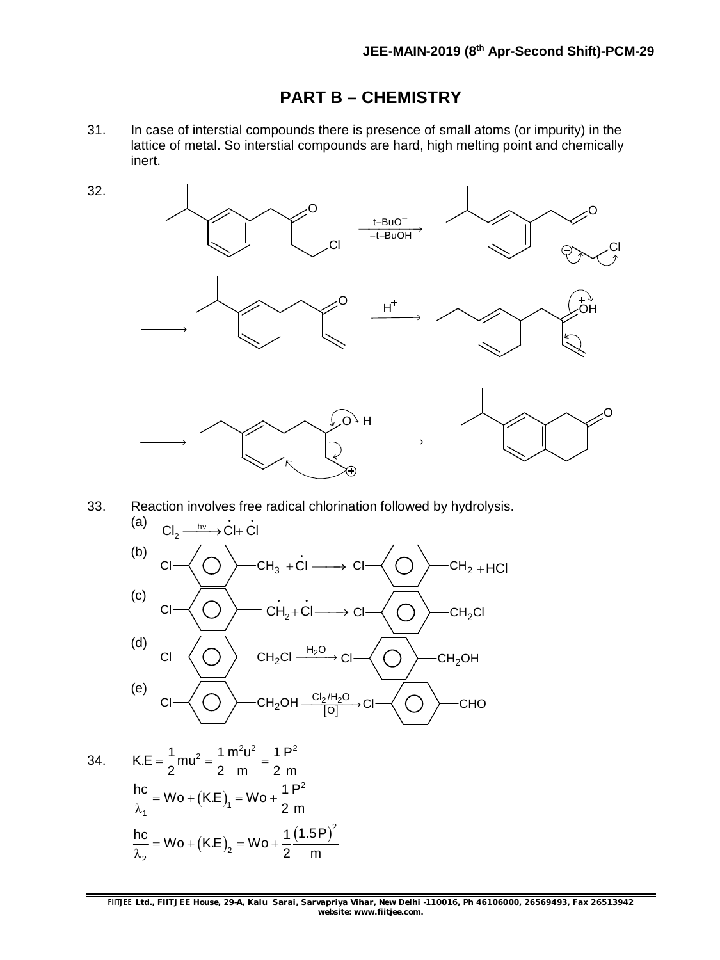### **PART B – CHEMISTRY**

31. In case of interstial compounds there is presence of small atoms (or impurity) in the lattice of metal. So interstial compounds are hard, high melting point and chemically inert.



33. Reaction involves free radical chlorination followed by hydrolysis.



34. 
$$
K.E = \frac{1}{2}mu^{2} = \frac{1}{2} \frac{m^{2}u^{2}}{m} = \frac{1}{2} \frac{P^{2}}{m}
$$

$$
\frac{hc}{\lambda_{1}} = Wo + (K.E)_{1} = Wo + \frac{1}{2} \frac{P^{2}}{m}
$$

$$
\frac{hc}{\lambda_{2}} = Wo + (K.E)_{2} = Wo + \frac{1}{2} \frac{(1.5P)^{2}}{m}
$$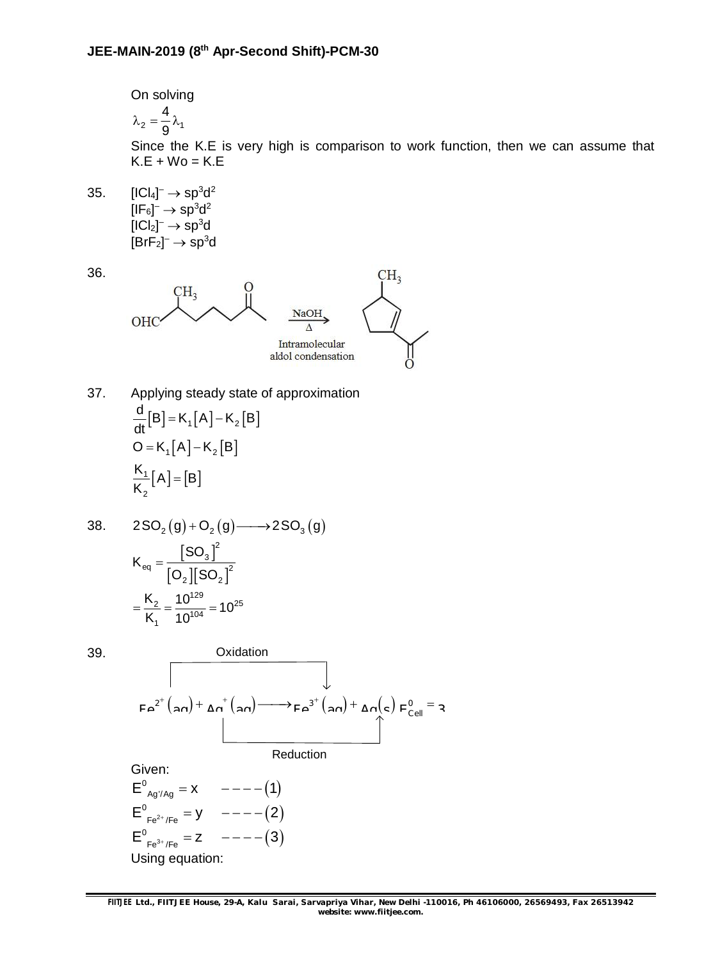On solving 2  $\sim$  1 4 9  $\lambda_2 = -\lambda_1$ 

Since the K.E is very high is comparison to work function, then we can assume that  $K.E + Wo = K.E$ 

35.  $[|Cl_4]^-\rightarrow sp^3d^2$ [IF $_6$ ] $^ \rightarrow$   $\mathrm{sp}^{3}$ d $^2$ [ICl $_2$ ] $^ \rightarrow$   $\rm sp^3$ d [BrF $_2$ ] $^ \rightarrow$   $\mathrm{sp}^{3}$ d

36.



37. Applying steady state of approximation  $[B] = K_1[A] - K_2[B]$  $O = K_1[A] - K_2[B]$  $\mathsf{L}[A] = [B]$ 2  $\frac{d}{d}$ [B] = K<sub>1</sub>[A] – K<sub>2</sub>[B] dt  $\frac{K_1}{K}[A] = [B]$ K  $=$   $K_1$   $\mid$   $A$   $\mid$   $\mid$  $=$ 

38. 
$$
2SQ_2(g) + O_2(g) \longrightarrow 2SQ_3(g)
$$
  
\n
$$
K_{eq} = \frac{[SO_3]^2}{[O_2][SO_2]^2}
$$
\n
$$
= \frac{K_2}{K_1} = \frac{10^{129}}{10^{104}} = 10^{25}
$$

39.

Oxidation

\n
$$
F a^{2^{+}}(a \cap) + \Delta n^{+}(a \cap) \longrightarrow F a^{3^{+}}(a \cap) + \Delta n(c) F_{Cell}^{0} = a
$$
\nReduction

\nGiven:

\n
$$
E^{0}_{Ag'/Ag} = X \qquad --- (1)
$$
\n
$$
E^{0}_{Ag'/Ag} = Y \qquad --- (2)
$$

 $E^0_{Fe^{2+}/Fe} = y \quad -- ---(2)$  $E^0_{Fe^{3+}/Fe} = Z \quad -- ---(3)$ Using equation: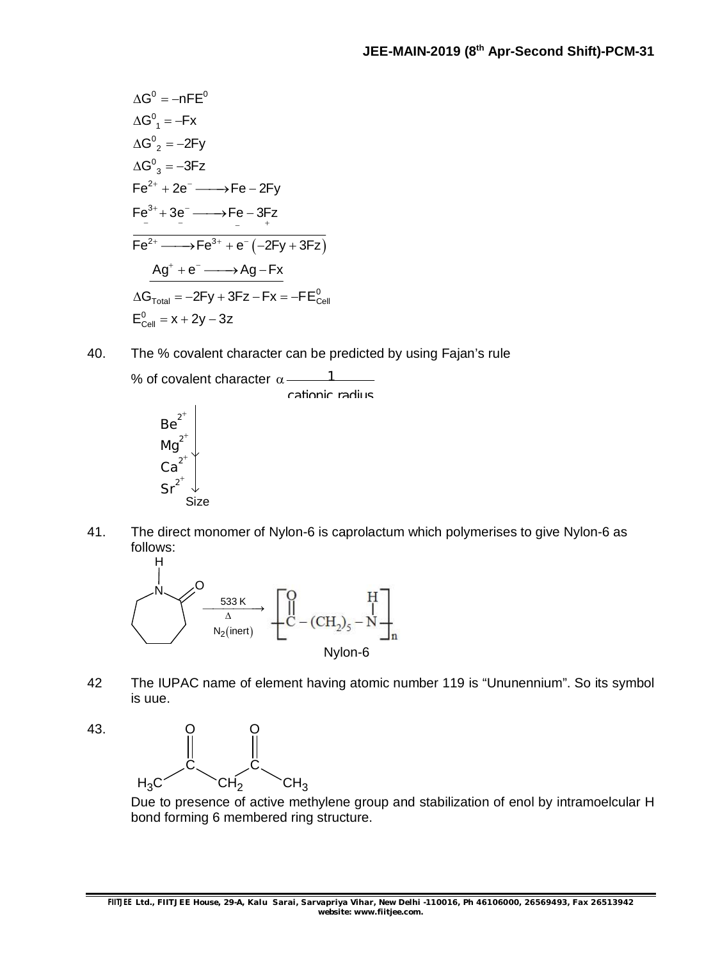$$
\Delta G^0 = -nFE^0
$$
\n
$$
\Delta G^0 = -Fx
$$
\n
$$
\Delta G^0 = -2Fy
$$
\n
$$
\Delta G^0 = -3Fz
$$
\n
$$
Fe^{2+} + 2e^- \longrightarrow Fe - 2Fy
$$
\n
$$
Fe^{3+} + 3e^- \longrightarrow Fe - 3Fz
$$
\n
$$
Fe^{2+} \longrightarrow Fe^{3+} + e^-(-2Fy + 3Fz)
$$
\n
$$
\Delta G^+ + e^- \longrightarrow Ag - Fx
$$
\n
$$
\Delta G^-_{\text{Total}} = -2Fy + 3Fz - Fx = -FE^0_{\text{Cell}}
$$
\n
$$
E^0_{\text{Cell}} = x + 2y - 3z
$$

40. The % covalent character can be predicted by using Fajan's rule

% of covalent character  $\alpha$  --------1



41. The direct monomer of Nylon-6 is caprolactum which polymerises to give Nylon-6 as follows:



- 42 The IUPAC name of element having atomic number 119 is "Ununennium". So its symbol is uue.
- 43.  $H_3C$   $\tilde{C}H_2$   $\tilde{C}H_3$ C C O O

Due to presence of active methylene group and stabilization of enol by intramoelcular H bond forming 6 membered ring structure.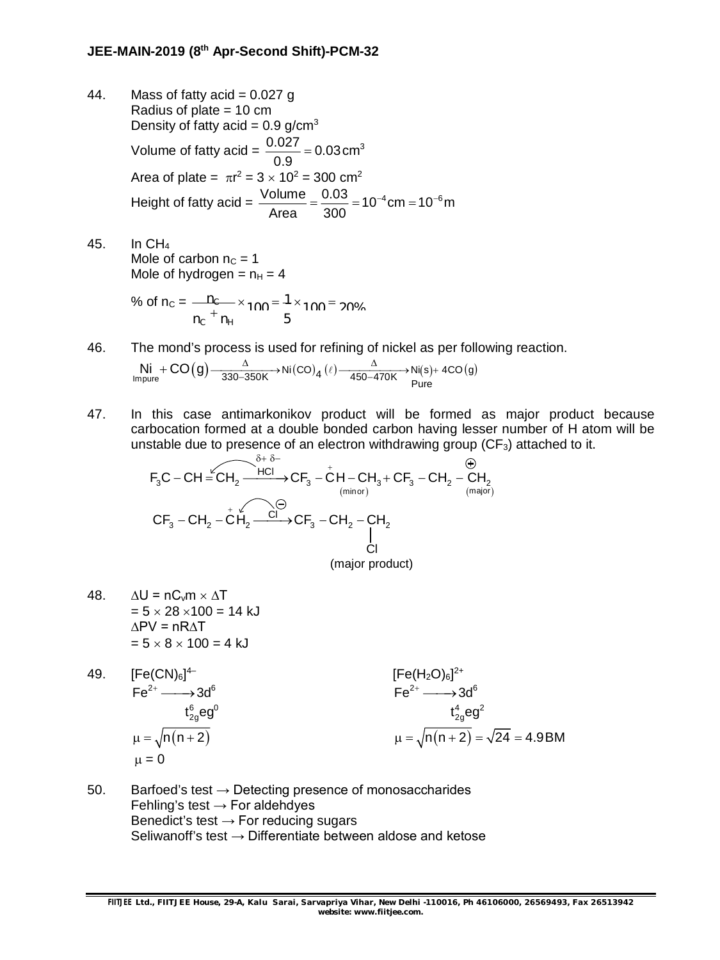- 44. Mass of fatty acid =  $0.027$  g Radius of plate = 10 cm Density of fatty acid =  $0.9$  g/cm<sup>3</sup> Volume of fatty acid =  $\frac{0.027}{0.02}$  = 0.03 cm<sup>3</sup> 0.9  $=$ Area of plate =  $\pi r^2 = 3 \times 10^2 = 300 \text{ cm}^2$ Height of fatty acid =  $\frac{\text{Volume}}{1.000} = \frac{0.03}{0.000} = 10^{-4} \text{cm} = 10^{-6} \text{m}$ Area 300  $=\frac{0.03}{200}$  = 10<sup>-4</sup> cm = 10<sup>-6</sup>
- 45. In CH<sup>4</sup> Mole of carbon  $n_c = 1$ Mole of hydrogen =  $n_H = 4$

% of n<sub>c</sub> = 
$$
\frac{n_c}{n_c} + \frac{n_H}{n_H} \times 100 = 1 \times 100 = 20\%
$$

46. The mond's process is used for refining of nickel as per following reaction.

$$
\underset{\text{Impure}}{\text{Ni}} + \text{CO}\big(g\big) \underset{\text{330-350K}}{\xrightarrow{\Delta}} \text{Ni}(\text{CO})_{4}\,(\ell) \underset{\text{450-470K}}{\xrightarrow{\Delta}} \text{Ni(s)} + \text{4CO}\big(g\big)
$$

47. In this case antimarkonikov product will be formed as major product because carbocation formed at a double bonded carbon having lesser number of H atom will be unstable due to presence of an electron withdrawing group  $(CF_3)$  attached to it.

$$
F_3C - CH = CH_2 \xrightarrow{8+8-} CF_3 - CH - CH_3 + CF_3 - CH_2 - CH_2
$$
\n
$$
CF_3 - CH_2 - CH_2 \xrightarrow{c} CH_2 \xrightarrow{Cl} CF_3 - CH_2 - CH_2
$$
\n
$$
CH_3 + CF_3 - CH_2 - CH_2
$$
\n
$$
CH_2 \xrightarrow{cl} CF_3 - CH_2 - CH_2
$$
\n
$$
CH_2 \xrightarrow{Cl} CH_2 \xrightarrow{Cl} CH_2 - CH_2
$$
\n
$$
CH_2 \xrightarrow{Cl} CH_2 \xrightarrow{Cl} CH_2 - CH_2
$$
\n
$$
CH_2 \xrightarrow{Cl} CH_2 \xrightarrow{Cl} CH_2 - CH_2
$$
\n
$$
CH_2 \xrightarrow{Cl} CH_2 \xrightarrow{Cl} CH_2 - CH_2
$$
\n
$$
CH_2 \xrightarrow{Cl} CH_2 \xrightarrow{Cl} CH_2 - CH_2
$$
\n
$$
CH_2 \xrightarrow{Cl} CH_2 \xrightarrow{Cl} CH_2 - CH_2
$$
\n
$$
CH_2 \xrightarrow{Cl} CH_2 \xrightarrow{Cl} CH_2 - CH_2
$$
\n
$$
CH_2 \xrightarrow{Cl} CH_2 - CH_2
$$
\n
$$
CH_2 \xrightarrow{Cl} CH_2 - CH_2
$$
\n
$$
CH_2 \xrightarrow{Cl} CH_2 - CH_2
$$
\n
$$
CH_2 \xrightarrow{Cl} CH_2 - CH_2
$$
\n
$$
CH_2 \xrightarrow{Cl} CH_2 - CH_2
$$
\n
$$
CH_2 \xrightarrow{Cl} CH_2 - CH_2
$$
\n
$$
CH_2 \xrightarrow{Cl} CH_2 - CH_2
$$
\n
$$
CH_2 \xrightarrow{Cl} CH_2 - CH_2
$$
\n
$$
CH_2 \xrightarrow{Cl} CH_2 - CH_2
$$
\n
$$
CH_2 \xrightarrow{Cl} CH_2 - CH_2
$$
\n
$$
CH_2 \xrightarrow{Cl} CH_2 - CH_2
$$
\n
$$
CH_2 \xrightarrow{Cl} CH_2 - CH_2
$$
\n
$$
CH_2 \xrightarrow{Cl} CH_2 - CH_2
$$
\n
$$
CH_2 \xrightarrow{Cl} CH_2 - CH_2
$$
\n<math display="</math>

- 48.  $\Delta U = nC_v m \times \Delta T$  $= 5 \times 28 \times 100 = 14$  kJ ∆PV = nR∆T  $= 5 \times 8 \times 100 = 4$  kJ
- 49. [Fe(CN)<sub>6</sub>]<sup>4–</sup>  $[{\sf Fe}({\sf H}_2{\sf O})_6]^{2+}$  $\mathsf{Fe}^{2+} \longrightarrow 3\mathsf{d}^6$   $\qquad \qquad \mathsf{Fe}^{2+} \longrightarrow 3\mathsf{d}^6$  $\mathsf{t}_{2\mathsf{g}}^{\mathsf{6}}$ eg $^{\mathsf{0}}$  $t_{2g}^4$ eg $^2$  n n 2 n n 2 24 4.9BM  $\mu = 0$
- 50. Barfoed's test  $\rightarrow$  Detecting presence of monosaccharides Fehling's test  $\rightarrow$  For aldehdyes Benedict's test  $\rightarrow$  For reducing sugars Seliwanoff's test  $\rightarrow$  Differentiate between aldose and ketose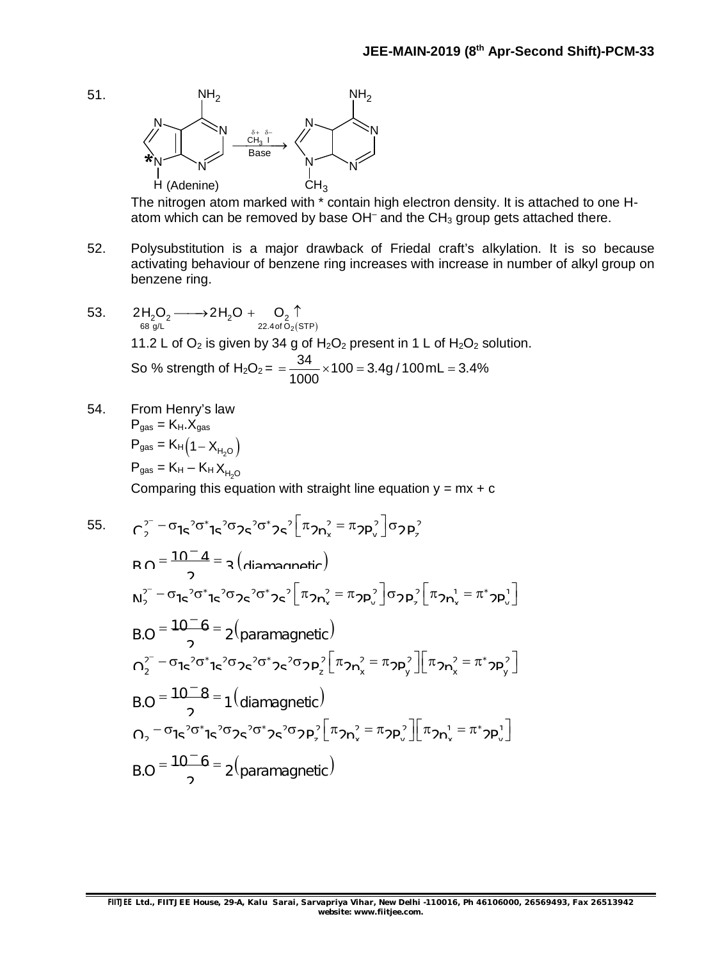

The nitrogen atom marked with \* contain high electron density. It is attached to one Hatom which can be removed by base  $OH^-$  and the  $CH_3$  group gets attached there.

- 52. Polysubstitution is a major drawback of Friedal craft's alkylation. It is so because activating behaviour of benzene ring increases with increase in number of alkyl group on benzene ring.
- 53.  $68 \frac{\text{g/L}}{2}$  2.4of O<sub>2</sub>(STP)  $2H_2O_2 \longrightarrow 2H_2O + O_2 \uparrow$ 11.2 L of  $O_2$  is given by 34 g of  $H_2O_2$  present in 1 L of  $H_2O_2$  solution. So % strength of H<sub>2</sub>O<sub>2</sub> =  $\frac{34}{1000}$  × 100 = 3.4g / 100 mL = 3.4% 1000  $=\frac{64}{1000} \times 100 = 3.4g / 100mL = 3$
- 54. From Henry's law  $P_{gas} = K_H.X_{gas}$  $P_{gas} = K_H (1 - X_{H_2O})$  $P_{gas} = K_H - K_H X_{H_2O}$

51.

Comparing this equation with straight line equation  $y = mx + c$ 

55. 
$$
C_2^{2-} - \sigma_{1}e^{2}\sigma_1^2 e^{2}\sigma_2 e^{2}\sigma_1^2 e^{2} \left[\pi_{2}n_x^2 - \pi_{2}p_x^2\right] \sigma_{2}p_x^2
$$
  
\n
$$
R \cap \frac{10^{-}4}{2} = 2 \left(\text{diamannetric}\right)
$$
  
\n
$$
N_2^{2-} - \sigma_{1}e^{2}\sigma_1^2 e^{2}\sigma_2^2 e^{2}\sigma_1^2 e^{2} \left[\pi_{2}n_x^2 - \pi_{2}p_x^2\right] \sigma_{2}p_x^2 \left[\pi_{2}n_x^1 - \pi_2^2 p_y^1\right]
$$
  
\n
$$
B \cap \frac{10^{-}6}{2} = 2 \left(\text{paramagnetic}\right)
$$
  
\n
$$
D_2^{2-} - \sigma_{1}e^{2}\sigma_1^2 e^{2}\sigma_2^2 e^{2}\sigma_2^2 e^{2}\sigma_2 p_x^2 \left[\pi_{2}n_x^2 - \pi_{2}p_y^2\right] \left[\pi_{2}n_x^2 - \pi_2^2 p_y^2\right]
$$
  
\n
$$
B \cap \frac{10^{-}8}{2} = 1 \left(\text{diamagnetic}\right)
$$
  
\n
$$
D_2^{2-} - \sigma_{1}e^{2}\sigma_1^2 e^{2}\sigma_2^2 e^{2}\sigma_2^2 e^{2}\sigma_2 p_y^2 \left[\pi_{2}n_x^2 - \pi_{2}p_y^2\right] \left[\pi_{2}n_x^1 - \pi_2^2 p_y^1\right]
$$
  
\n
$$
B \cap \frac{10^{-}6}{2} = 2 \left(\text{paramagnetic}\right)
$$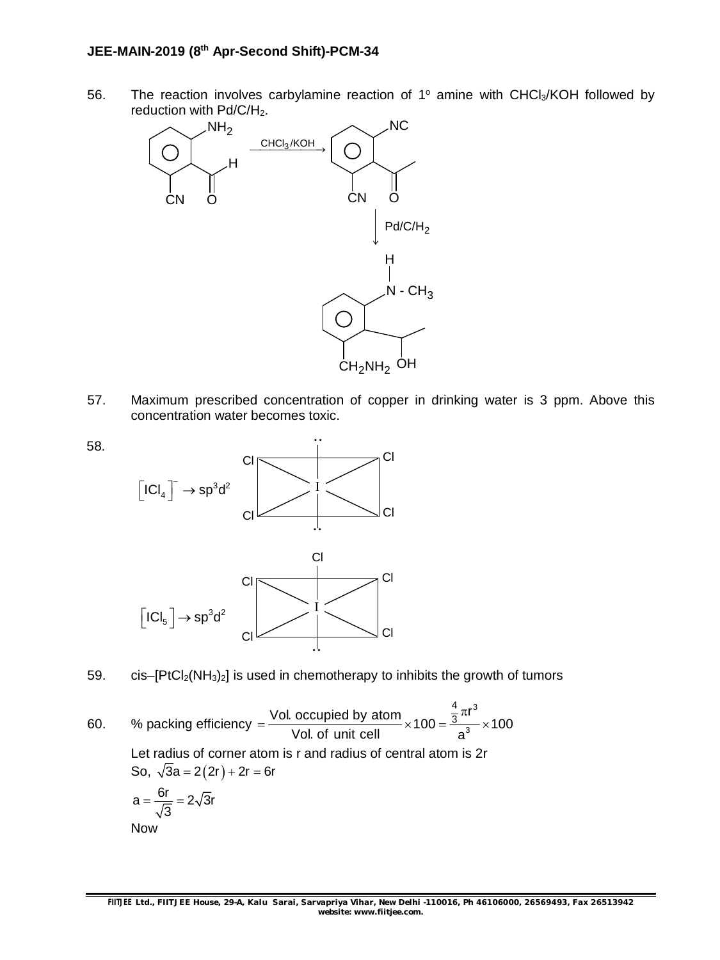56. The reaction involves carbylamine reaction of  $1^\circ$  amine with CHCl<sub>3</sub>/KOH followed by reduction with Pd/C/H<sub>2</sub>.



57. Maximum prescribed concentration of copper in drinking water is 3 ppm. Above this concentration water becomes toxic.



- 59. cis– $[PtCl<sub>2</sub>(NH<sub>3</sub>)<sub>2</sub>]$  is used in chemotherapy to inhibits the growth of tumors
- 60. % packing efficiency 3 3 Vol. occupied by atom<br> $\times 100 = \frac{\frac{4}{3}\pi r^3}{3} \times 100$ Vol. of unit cell a  $\pi$  $=\frac{3}{x}$   $\frac{3}{x}$   $\frac{3}{x}$   $\frac{3}{x}$   $\frac{3}{x}$   $\frac{3}{x}$   $\frac{3}{x}$   $\frac{3}{x}$   $\frac{1}{x}$   $\frac{1}{x}$   $\frac{1}{x}$   $\frac{1}{x}$   $\frac{1}{x}$   $\frac{1}{x}$   $\frac{1}{x}$   $\frac{1}{x}$   $\frac{1}{x}$   $\frac{1}{x}$   $\frac{1}{x}$   $\frac{1}{x}$   $\frac{1}{x}$   $\frac{1}{x}$  Let radius of corner atom is r and radius of central atom is 2r So,  $\sqrt{3}a = 2(2r) + 2r = 6r$  $a = \frac{6r}{\sqrt{2}} = 2\sqrt{3}r$ 3  $=\frac{5}{\sqrt{2}}$  = 2 Now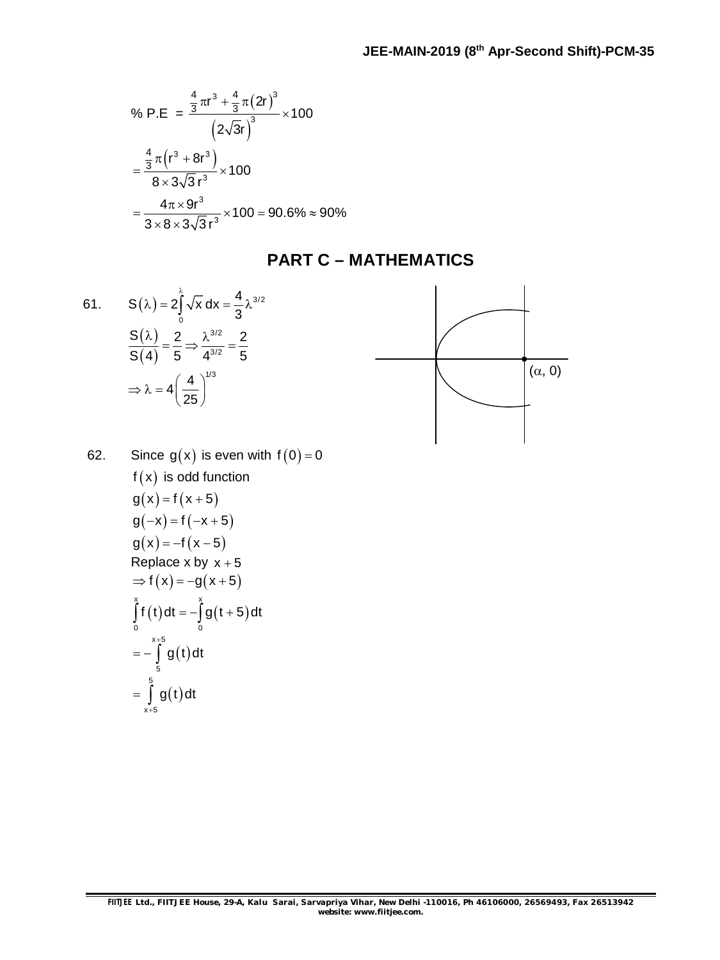% P.E = 
$$
\frac{\frac{4}{3}\pi r^3 + \frac{4}{3}\pi (2r)^3}{(2\sqrt{3}r)^3} \times 100
$$

$$
= \frac{\frac{4}{3}\pi (r^3 + 8r^3)}{8 \times 3\sqrt{3}r^3} \times 100
$$

$$
= \frac{4\pi \times 9r^3}{3 \times 8 \times 3\sqrt{3}r^3} \times 100 = 90.6\% ≈ 90\%
$$

### **PART C – MATHEMATICS**

61. 
$$
S(\lambda) = 2 \int_{0}^{\lambda} \sqrt{x} dx = \frac{4}{3} \lambda^{3/2}
$$

$$
\frac{S(\lambda)}{S(4)} = \frac{2}{5} \Rightarrow \frac{\lambda^{3/2}}{4^{3/2}} = \frac{2}{5}
$$

$$
\Rightarrow \lambda = 4 \left(\frac{4}{25}\right)^{1/3}
$$



62. Since 
$$
g(x)
$$
 is even with  $f(0) = 0$   
\n $f(x)$  is odd function  
\n $g(x) = f(x+5)$   
\n $g(-x) = f(-x+5)$   
\n $g(x) = -f(x-5)$   
\nReplace x by x + 5  
\n $\Rightarrow f(x) = -g(x+5)$   
\n
$$
\int_{0}^{x+5} f(t) dt = -\int_{0}^{x} g(t+5) dt
$$
\n
$$
= -\int_{5}^{x+5} g(t) dt
$$
\n
$$
= \int_{0}^{5} g(t) dt
$$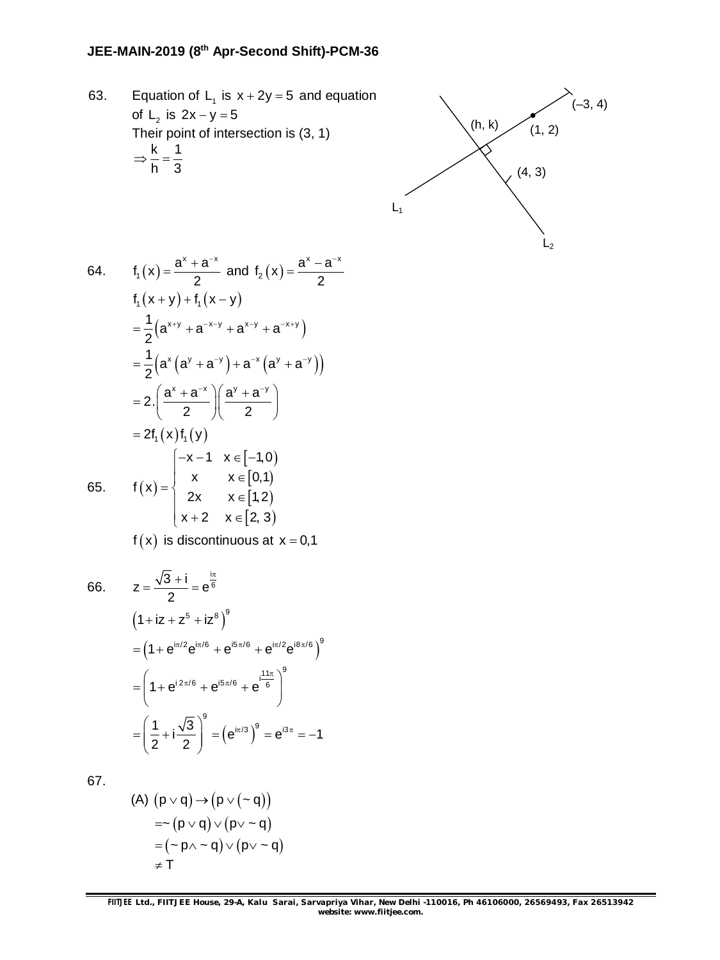63. Equation of  $L_1$  is  $x + 2y = 5$  and equation of  $L_2$  is  $2x - y = 5$ Their point of intersection is (3, 1) k 1 h 3  $\Rightarrow -\frac{1}{1}$ 



64. 
$$
f_1(x) = \frac{a^x + a^{-x}}{2}
$$
 and  $f_2(x) = \frac{a^x - a^{-x}}{2}$   
\n $f_1(x+y) + f_1(x-y)$   
\n $= \frac{1}{2}(a^{x+y} + a^{-x-y} + a^{x-y} + a^{-x+y})$   
\n $= \frac{1}{2}(a^x(a^y + a^{-y}) + a^{-x}(a^y + a^{-y}))$   
\n $= 2 \cdot \left(\frac{a^x + a^{-x}}{2}\right) \left(\frac{a^y + a^{-y}}{2}\right)$   
\n $= 2f_1(x)f_1(y)$   
\n65.  $f(x) = \begin{cases} -x - 1 & x \in [-1,0) \\ x & x \in [0,1) \\ 2x & x \in [1,2) \\ x+2 & x \in [2,3) \end{cases}$ 

 $f(x)$  is discontinuous at  $x = 0,1$ 

66. 
$$
z = \frac{\sqrt{3} + i}{2} = e^{\frac{i\pi}{6}}
$$

$$
(1 + iz + z^5 + iz^8)^9
$$

$$
= (1 + e^{i\pi/2}e^{i\pi/6} + e^{i5\pi/6} + e^{i\pi/2}e^{i8\pi/6})^9
$$

$$
= \left(1 + e^{i2\pi/6} + e^{i5\pi/6} + e^{i\frac{11\pi}{6}}\right)^9
$$

$$
= \left(\frac{1}{2} + i\frac{\sqrt{3}}{2}\right)^9 = \left(e^{i\pi/3}\right)^9 = e^{i3\pi} = -1
$$

67.

(A) 
$$
(p \lor q) \rightarrow (p \lor (\sim q))
$$
  
\n $= \sim (p \lor q) \lor (p \lor \sim q)$   
\n $= (\sim p \land \sim q) \lor (p \lor \sim q)$   
\n $\neq T$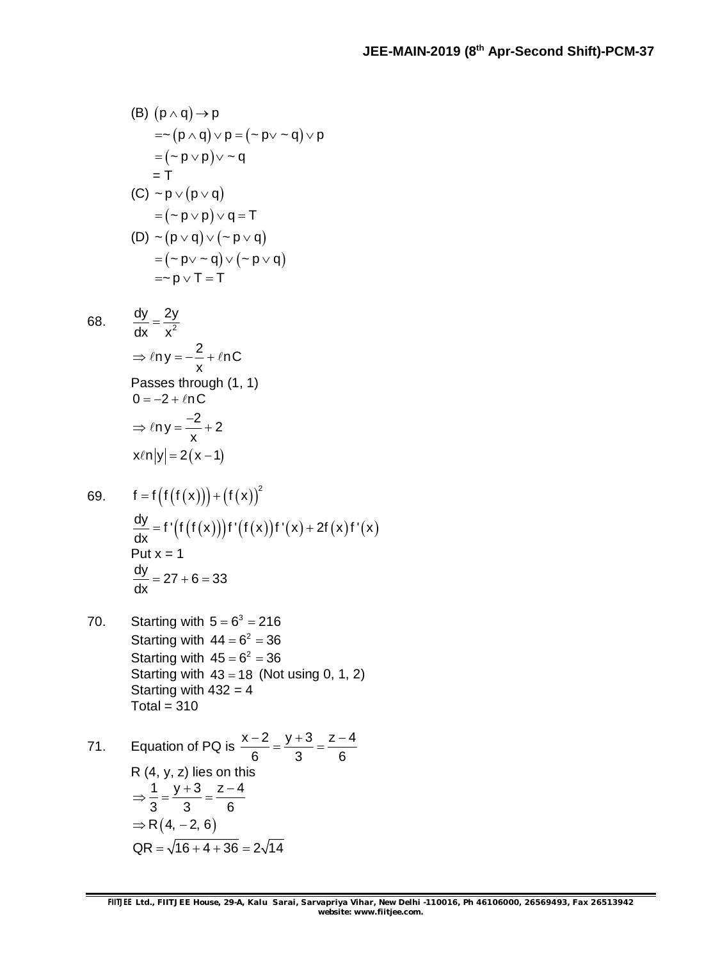(B) 
$$
(p \land q) \rightarrow p
$$
  
\n $= \sim (p \land q) \lor p = (\sim p \lor \sim q) \lor p$   
\n $= (\sim p \lor p) \lor \sim q$   
\n $= T$   
\n(C)  $\sim p \lor (p \lor q)$   
\n $= (\sim p \lor p) \lor q = T$   
\n(D)  $\sim (p \lor q) \lor (\sim p \lor q)$   
\n $= (\sim p \lor \sim q) \lor (\sim p \lor q)$   
\n $= \sim p \lor T = T$ 

68. 
$$
\frac{dy}{dx} = \frac{2y}{x^2}
$$
  
\n
$$
\Rightarrow \ln y = -\frac{2}{x} + \ln C
$$
  
\nPasses through (1, 1)  
\n
$$
0 = -2 + \ln C
$$
  
\n
$$
\Rightarrow \ln y = \frac{-2}{x} + 2
$$
  
\n
$$
x\ln|y| = 2(x - 1)
$$

69. 
$$
f = f(f(f(x))) + (f(x))^{2}
$$
  
\n
$$
\frac{dy}{dx} = f'(f(f(x)))f'(f(x))f'(x) + 2f(x)f'(x)
$$
\nPut x = 1  
\n
$$
\frac{dy}{dx} = 27 + 6 = 33
$$

70. Starting with  $5 = 6^3 = 216$ Starting with  $44 = 6^2 = 36$ Starting with  $45 = 6^2 = 36$ Starting with  $43 = 18$  (Not using 0, 1, 2) Starting with  $432 = 4$ Total =  $310$ 

71. Equation of PQ is 
$$
\frac{x-2}{6} = \frac{y+3}{3} = \frac{z-4}{6}
$$
  
\nR (4, y, z) lies on this  
\n $\Rightarrow \frac{1}{3} = \frac{y+3}{3} = \frac{z-4}{6}$   
\n $\Rightarrow R(4, -2, 6)$   
\nQR =  $\sqrt{16 + 4 + 36} = 2\sqrt{14}$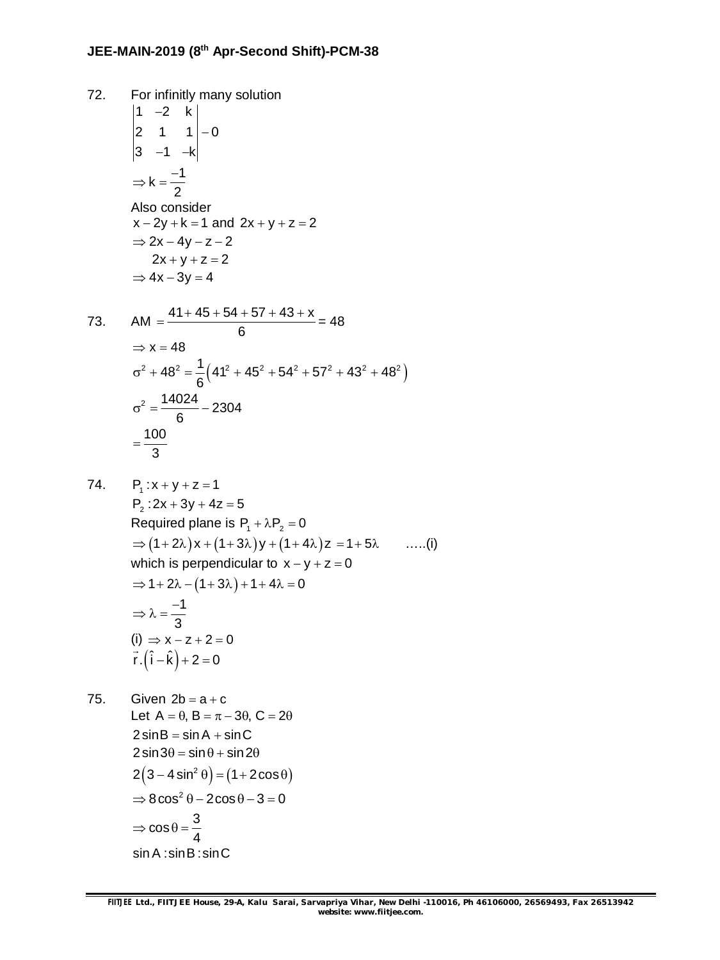72. For infinitly many solution 1  $-2$  k 2 1  $1|-0$ 3 -1 -k -–1 –k  $k = \frac{-1}{2}$ 2  $\Rightarrow k = \frac{-}{\sqrt{2}}$ Also consider  $x - 2y + k = 1$  and  $2x + y + z = 2$  $\Rightarrow$  2x - 4y - z - 2  $2x + y + z = 2$  $\Rightarrow$  4x - 3y = 4

73. 
$$
AM = \frac{41 + 45 + 54 + 57 + 43 + x}{6} = 48
$$

$$
\Rightarrow x = 48
$$

$$
\sigma^2 + 48^2 = \frac{1}{6} \left( 41^2 + 45^2 + 54^2 + 57^2 + 43^2 + 48^2 \right)
$$

$$
\sigma^2 = \frac{14024}{6} - 2304
$$

$$
= \frac{100}{3}
$$

74.  $P_1: x+y+z=1$ 

 $P_2$ :2x + 3y + 4z = 5 Required plane is  $P_1 + \lambda P_2 = 0$  $\Rightarrow$   $(1+2\lambda)x + (1+3\lambda)y + (1+4\lambda)z = 1+5\lambda$  …..(i) which is perpendicular to  $x - y + z = 0$  $\Rightarrow 1 + 2\lambda - (1 + 3\lambda) + 1 + 4\lambda = 0$ 1 3  $\Rightarrow \lambda = \frac{-}{\epsilon}$  $(i) \Rightarrow x - z + 2 = 0$  $\vec{r} \cdot (\hat{i} - \hat{k}) + 2 = 0$ 

75. Given  $2b = a + c$ Let  $A = \theta$ ,  $B = \pi - 3\theta$ ,  $C = 2\theta$  $2\sin B = \sin A + \sin C$  $2 \sin 3\theta = \sin \theta + \sin 2\theta$  $2(3-4\sin^2\theta) = (1+2\cos\theta)$  $\Rightarrow$  8cos<sup>2</sup>  $\theta$  – 2cos  $\theta$  – 3 = 0  $\cos \theta = \frac{3}{4}$ 4  $\Rightarrow$  cos  $\theta =$ sin A : sin B : sin C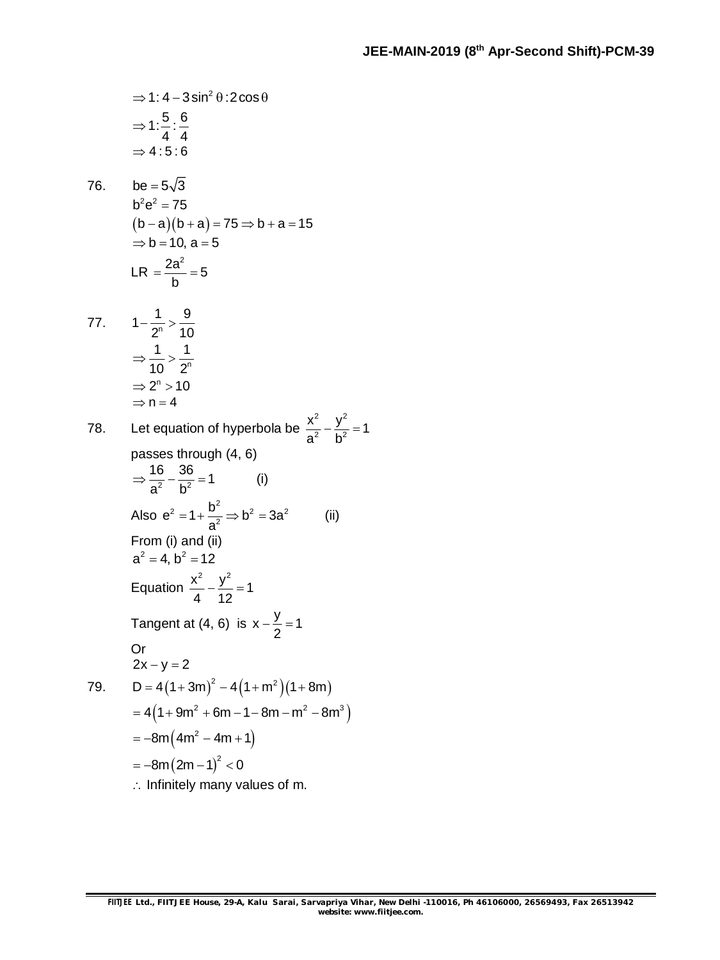⇒ 1: 4-3 sin<sup>2</sup> θ: 2 cos θ  
\n⇒ 1: 
$$
\frac{5}{4}
$$
 :  $\frac{6}{4}$   
\n⇒ 4: 5: 6  
\n76. be = 5 $\sqrt{3}$   
\nb<sup>2</sup>e<sup>2</sup> = 75  
\n(b-a)(b+a) = 75 ⇒ b+a = 15  
\n⇒ b = 10, a = 5  
\nLR =  $\frac{2a^2}{b}$  = 5  
\n  
\n77.  $1-\frac{1}{2^n} > \frac{9}{10}$   
\n⇒  $\frac{1}{10} > \frac{1}{2^n}$   
\n⇒ 2<sup>n</sup> > 10  
\n⇒ n = 4  
\n  
\n78. Let equation of hyperbola be  $\frac{x^2}{a^2} - \frac{y^2}{b^2} = 1$   
\npasses through (4, 6)  
\n⇒  $\frac{16}{a^2} - \frac{36}{b^2} = 1$  (i)  
\nAlso e<sup>2</sup> = 1+  $\frac{b^2}{a^2}$  ⇒ b<sup>2</sup> = 3a<sup>2</sup> (ii)  
\nFrom (i) and (ii)  
\na<sup>2</sup> = 4, b<sup>2</sup> = 12  
\nEquation  $\frac{x^2}{4} - \frac{y^2}{12} = 1$   
\nTangent at (4, 6) is x -  $\frac{y}{2}$  = 1  
\n  
\nOr  
\n2x - y = 2  
\nD = 4(1+3m)<sup>2</sup> - 4(1+m<sup>2</sup>)(1+8m)  
\n= 4(1+9m<sup>2</sup> + 6m - 1-8m - m<sup>2</sup> - 8m<sup>3</sup>)  
\n= -8m(2m - 1)<sup>2</sup> < 0  
\n∴ Infinitely many values of m.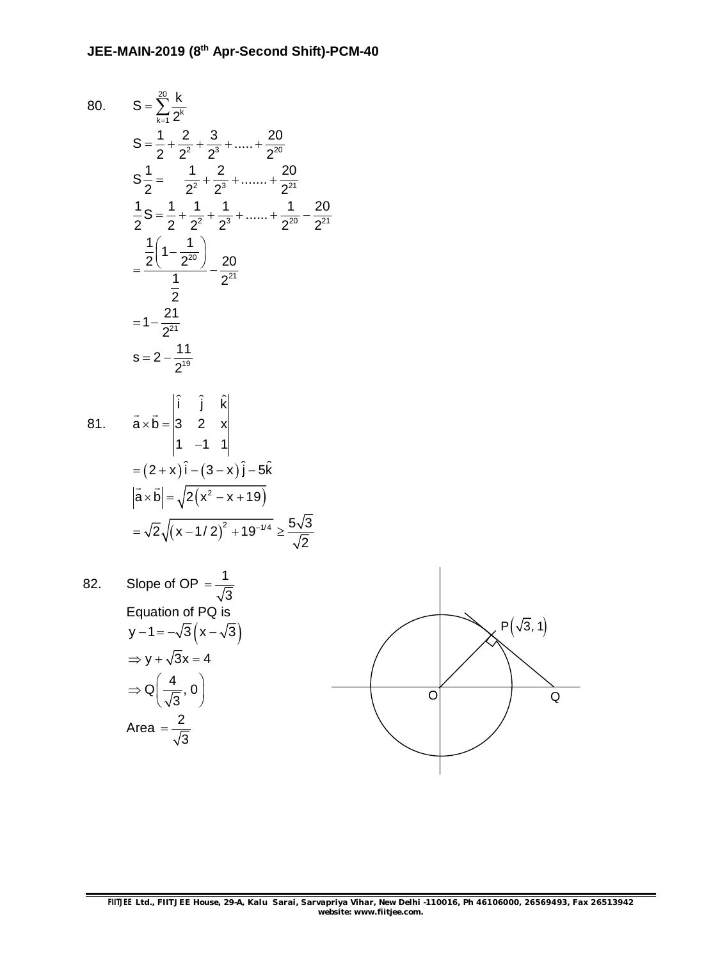80. 
$$
S = \sum_{k=1}^{\infty} \frac{k}{2^{k}}
$$
  
\n
$$
S = \frac{1}{2} + \frac{2}{2^{2}} + \frac{3}{2^{3}} + \dots + \frac{20}{2^{20}}
$$
  
\n
$$
S = \frac{1}{2} = \frac{1}{2^{2}} + \frac{2}{2^{3}} + \dots + \frac{20}{2^{21}}
$$
  
\n
$$
\frac{1}{2}S = \frac{1}{2} + \frac{1}{2^{2}} + \frac{1}{2^{3}} + \dots + \frac{1}{2^{20}} - \frac{20}{2^{21}}
$$
  
\n
$$
= \frac{\frac{1}{2}(1 - \frac{1}{2^{20}})}{\frac{1}{2}} - \frac{20}{2^{21}}
$$
  
\n
$$
= 1 - \frac{21}{2^{21}}
$$
  
\n
$$
S = 2 - \frac{11}{2^{19}}
$$
  
\n81. 
$$
\vec{a} \times \vec{b} = \begin{vmatrix} \hat{i} & \hat{j} & \hat{k} \\ 3 & 2 & x \\ 1 & -1 & 1 \end{vmatrix}
$$
  
\n
$$
= (2 + x)\hat{i} - (3 - x)\hat{j} - 5\hat{k}
$$
  
\n
$$
|\vec{a} \times \vec{b}| = \sqrt{2(x^{2} - x + 19)}
$$
  
\n
$$
= \sqrt{2} \sqrt{(x - 1/2)^{2} + 19^{-1/4}} \ge \frac{5\sqrt{3}}{\sqrt{2}}
$$
  
\n82. Slope of OP =  $\frac{1}{\sqrt{3}}$   
\nEquation of PQ is  
\n
$$
y - 1 = -\sqrt{3}(x - \sqrt{3})
$$
  
\n
$$
\Rightarrow y + \sqrt{3}x = 4
$$
  
\n
$$
\Rightarrow Q(\frac{4}{x}, 0)
$$

$$
y-1=-\sqrt{3}(x-\n\Rightarrow y+\sqrt{3}x=4
$$
\n
$$
\Rightarrow Q\left(\frac{4}{\sqrt{3}},0\right)
$$
\nArea =  $\frac{2}{\sqrt{3}}$ 

3  $=$ 

$$
\overbrace{\hspace{25mm}}^{}
$$

 $\overline{Q}$ 

**FIITJEE** *Ltd., FIITJEE House, 29-A, Kalu Sarai, Sarvapriya Vihar, New Delhi -110016, Ph 46106000, 26569493, Fax 26513942 website: [www.fiitjee.com.](http://www.fiitjee.com.)*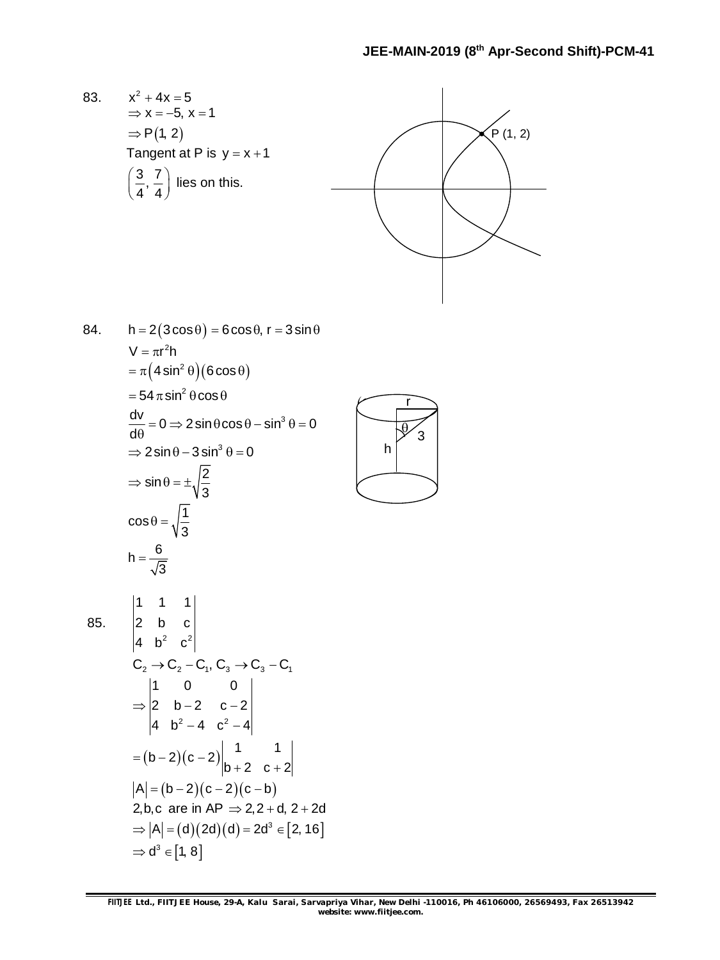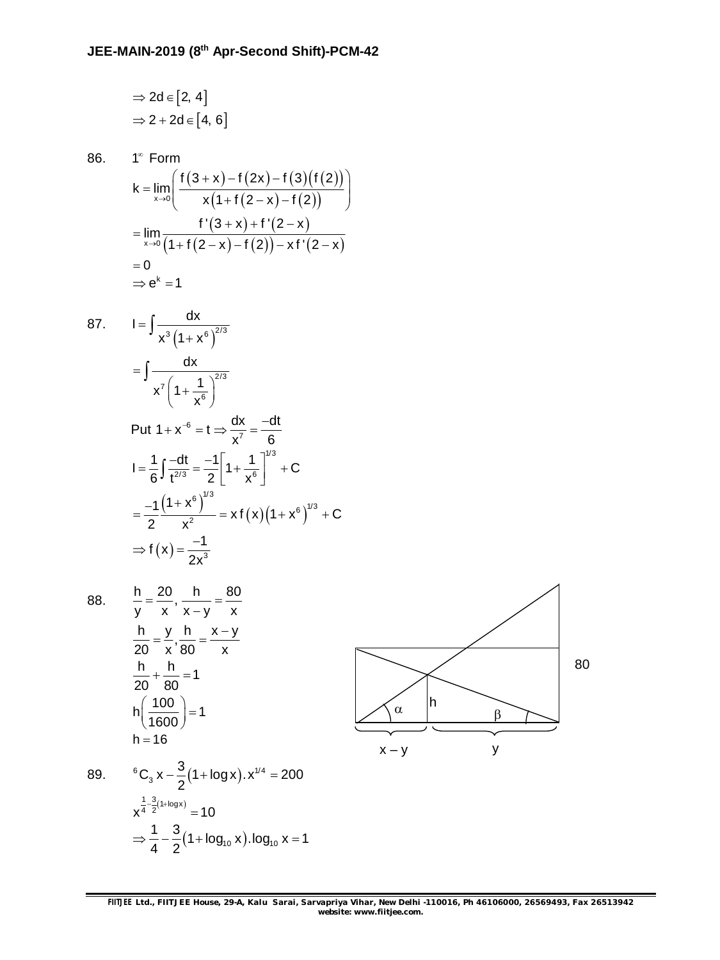$$
\Rightarrow 2d \in [2, 4]
$$
  

$$
\Rightarrow 2 + 2d \in [4, 6]
$$

$$
1^{\infty} \text{ Form}
$$
\n
$$
k = \lim_{x \to 0} \left( \frac{f(3+x) - f(2x) - f(3)(f(2))}{x(1 + f(2 - x) - f(2))} \right)
$$
\n
$$
= \lim_{x \to 0} \frac{f'(3+x) + f'(2-x)}{(1 + f(2-x) - f(2)) - xf'(2-x)}
$$
\n
$$
= 0
$$
\n
$$
\Rightarrow e^{k} = 1
$$

87. 
$$
I = \int \frac{dx}{x^3 (1 + x^6)^{2/3}}
$$
  
\n
$$
= \int \frac{dx}{x^7 (1 + \frac{1}{x^6})^{2/3}}
$$
  
\nPut  $1 + x^{-6} = t \Rightarrow \frac{dx}{x^7} = \frac{-dt}{6}$   
\n
$$
I = \frac{1}{6} \int \frac{-dt}{t^{2/3}} = \frac{-1}{2} \left[ 1 + \frac{1}{x^6} \right]^{1/3} + C
$$
  
\n
$$
= \frac{-1}{2} \frac{(1 + x^6)^{1/3}}{x^2} = x f(x) (1 + x^6)^{1/3} + C
$$
  
\n
$$
\Rightarrow f(x) = \frac{-1}{2x^3}
$$

86. 1

88. 
$$
\frac{h}{y} = \frac{20}{x}, \frac{h}{x-y} = \frac{80}{x}
$$

$$
\frac{h}{20} = \frac{y}{x}, \frac{h}{80} = \frac{x-y}{x}
$$

$$
\frac{h}{20} + \frac{h}{80} = 1
$$

$$
h \left(\frac{100}{1600}\right) = 1
$$

$$
h = 16
$$

89. 
$$
{}^{6}C_{3}x - \frac{3}{2}(1 + \log x).x^{1/4} = 200
$$
  
 $x^{\frac{1}{4} - \frac{3}{2}(1 + \log x)} = 10$   
 $\Rightarrow \frac{1}{4} - \frac{3}{2}(1 + \log_{10} x). \log_{10} x = 1$ 



**FIITJEE** *Ltd., FIITJEE House, 29-A, Kalu Sarai, Sarvapriya Vihar, New Delhi -110016, Ph 46106000, 26569493, Fax 26513942 website: [www.fiitjee.com.](http://www.fiitjee.com.)*